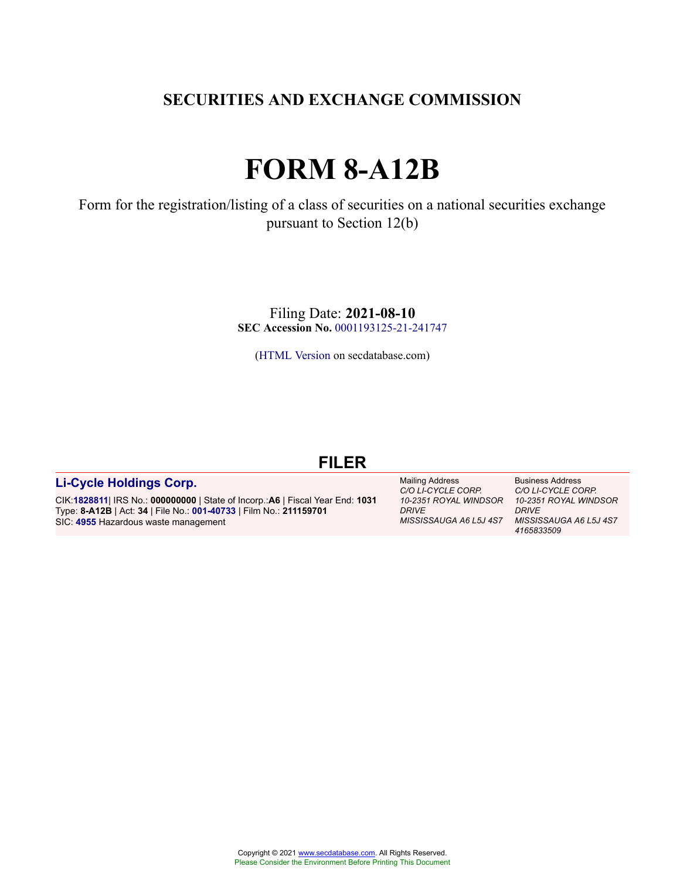# **SECURITIES AND EXCHANGE COMMISSION**

# **FORM 8-A12B**

Form for the registration/listing of a class of securities on a national securities exchange pursuant to Section 12(b)

> Filing Date: **2021-08-10 SEC Accession No.** [0001193125-21-241747](http://www.sec.gov/Archives/edgar/data/0001828811/000119312521241747/0001193125-21-241747-index.htm)

[\(HTML Version](http://edgar.secdatabase.com/528/119312521241747/filing-main.htm) on secdatabase.com)

# **FILER**

# **[Li-Cycle Holdings Corp.](https://research.secdatabase.com/CIK/1828811)**

CIK:**[1828811](https://research.secdatabase.com/CIK/1828811)**| IRS No.: **000000000** | State of Incorp.:**A6** | Fiscal Year End: **1031** Type: **8-A12B** | Act: **34** | File No.: **[001-40733](https://research.secdatabase.com/FileNumber/140733)** | Film No.: **211159701** SIC: **[4955](https://research.secdatabase.com/SIC/4955)** Hazardous waste management

*10-2351 ROYAL WINDSOR 10-2351 ROYAL WINDSOR MISSISSAUGA A6 L5J 4S7 MISSISSAUGA A6 L5J 4S7* Mailing Address *C/O LI-CYCLE CORP. DRIVE*

Business Address *C/O LI-CYCLE CORP. DRIVE 4165833509*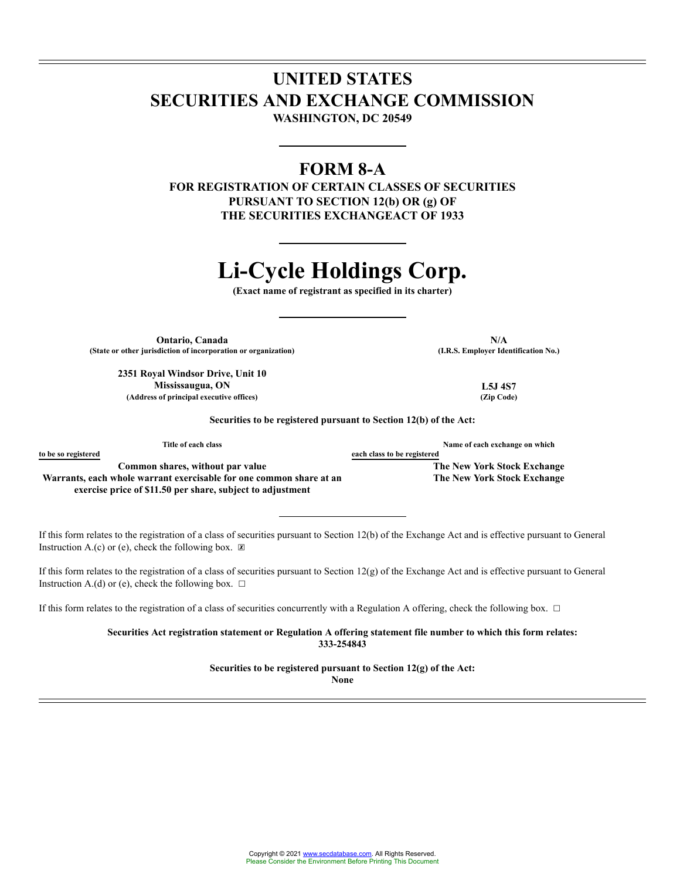# **UNITED STATES SECURITIES AND EXCHANGE COMMISSION WASHINGTON, DC 20549**

# **FORM 8-A**

**FOR REGISTRATION OF CERTAIN CLASSES OF SECURITIES PURSUANT TO SECTION 12(b) OR (g) OF THE SECURITIES EXCHANGEACT OF 1933**

# **Li-Cycle Holdings Corp.**

**(Exact name of registrant as specified in its charter)**

**Ontario, Canada N/A (State or other jurisdiction of incorporation or organization) (I.R.S. Employer Identification No.)**

**2351 Royal Windsor Drive, Unit 10 Mississaugua, ON L5J 4S7 (Address of principal executive offices) (Zip Code)**

**Securities to be registered pursuant to Section 12(b) of the Act:**

| Title of each class                                                 | Name of each exchange on which |
|---------------------------------------------------------------------|--------------------------------|
| to be so registered                                                 | each class to be registered    |
| Common shares, without par value                                    | The New York Stock Exchange    |
| Warrants, each whole warrant exercisable for one common share at an | The New York Stock Exchange    |
| exercise price of \$11.50 per share, subject to adjustment          |                                |

If this form relates to the registration of a class of securities pursuant to Section 12(b) of the Exchange Act and is effective pursuant to General Instruction A.(c) or (e), check the following box.  $\mathbb{Z}$ 

If this form relates to the registration of a class of securities pursuant to Section  $12(g)$  of the Exchange Act and is effective pursuant to General Instruction A.(d) or (e), check the following box.  $\Box$ 

If this form relates to the registration of a class of securities concurrently with a Regulation A offering, check the following box. □

**Securities Act registration statement or Regulation A offering statement file number to which this form relates: 333-254843**

**Securities to be registered pursuant to Section 12(g) of the Act:**

**None**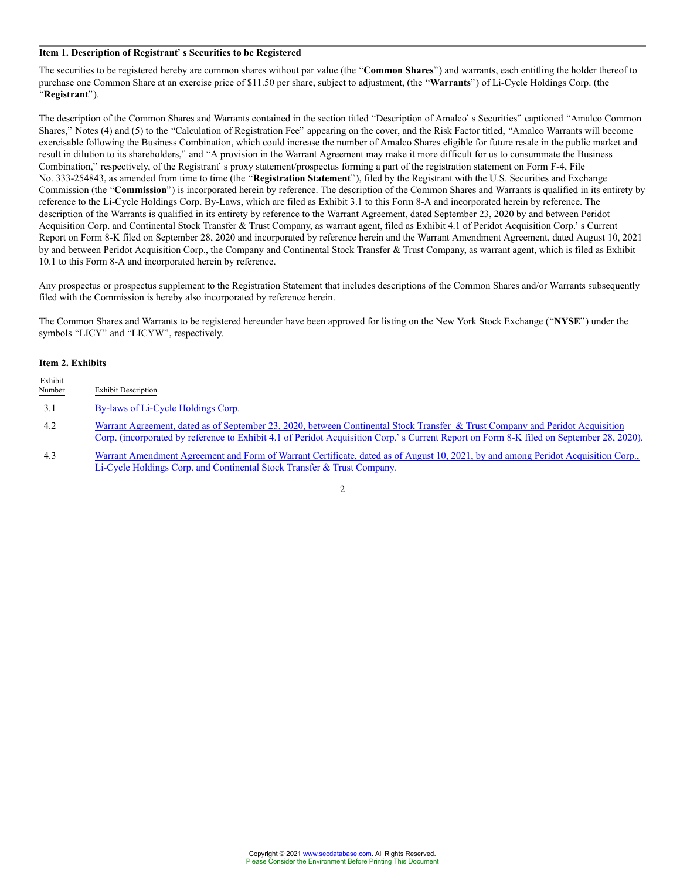### **Item 1. Description of Registrants Securities to be Registered**

The securities to be registered hereby are common shares without par value (the "Common Shares") and warrants, each entitling the holder thereof to purchase one Common Share at an exercise price of \$11.50 per share, subject to adjustment, (the "Warrants") of Li-Cycle Holdings Corp. (the **Registrant**).

The description of the Common Shares and Warrants contained in the section titled "Description of Amalco's Securities" captioned "Amalco Common Shares," Notes (4) and (5) to the "Calculation of Registration Fee" appearing on the cover, and the Risk Factor titled, "Amalco Warrants will become exercisable following the Business Combination, which could increase the number of Amalco Shares eligible for future resale in the public market and result in dilution to its shareholders," and "A provision in the Warrant Agreement may make it more difficult for us to consummate the Business Combination," respectively, of the Registrant' s proxy statement/prospectus forming a part of the registration statement on Form F-4, File No. 333-254843, as amended from time to time (the **Registration Statement**), filed by the Registrant with the U.S. Securities and Exchange Commission (the "Commission") is incorporated herein by reference. The description of the Common Shares and Warrants is qualified in its entirety by reference to the Li-Cycle Holdings Corp. By-Laws, which are filed as Exhibit 3.1 to this Form 8-A and incorporated herein by reference. The description of the Warrants is qualified in its entirety by reference to the Warrant Agreement, dated September 23, 2020 by and between Peridot Acquisition Corp. and Continental Stock Transfer & Trust Company, as warrant agent, filed as Exhibit 4.1 of Peridot Acquisition Corp.' s Current Report on Form 8-K filed on September 28, 2020 and incorporated by reference herein and the Warrant Amendment Agreement, dated August 10, 2021 by and between Peridot Acquisition Corp., the Company and Continental Stock Transfer & Trust Company, as warrant agent, which is filed as Exhibit 10.1 to this Form 8-A and incorporated herein by reference.

Any prospectus or prospectus supplement to the Registration Statement that includes descriptions of the Common Shares and/or Warrants subsequently filed with the Commission is hereby also incorporated by reference herein.

The Common Shares and Warrants to be registered hereunder have been approved for listing on the New York Stock Exchange ("NYSE") under the symbols "LICY" and "LICYW", respectively.

# **Item 2. Exhibits**

| Exhibit<br>Number | <b>Exhibit Description</b>                                                                                                                                                                                                                                                |
|-------------------|---------------------------------------------------------------------------------------------------------------------------------------------------------------------------------------------------------------------------------------------------------------------------|
| 3.1               | By-laws of Li-Cycle Holdings Corp.                                                                                                                                                                                                                                        |
| 4.2               | Warrant Agreement, dated as of September 23, 2020, between Continental Stock Transfer & Trust Company and Peridot Acquisition<br>Corp. (incorporated by reference to Exhibit 4.1 of Peridot Acquisition Corp.' s Current Report on Form 8-K filed on September 28, 2020). |
| 4.3               | Warrant Amendment Agreement and Form of Warrant Certificate, dated as of August 10, 2021, by and among Peridot Acquisition Corp.,                                                                                                                                         |

4.3 [Warrant Amendment Agreement and Form of Warrant Certificate, dated as of August 10, 2021, by and among Peridot Acquisition Corp.,](http://edgar.secdatabase.com/528/119312521241747/d145140dex43.htm) [Li-Cycle Holdings Corp. and Continental Stock Transfer & Trust Company.](http://edgar.secdatabase.com/528/119312521241747/d145140dex43.htm)

# 2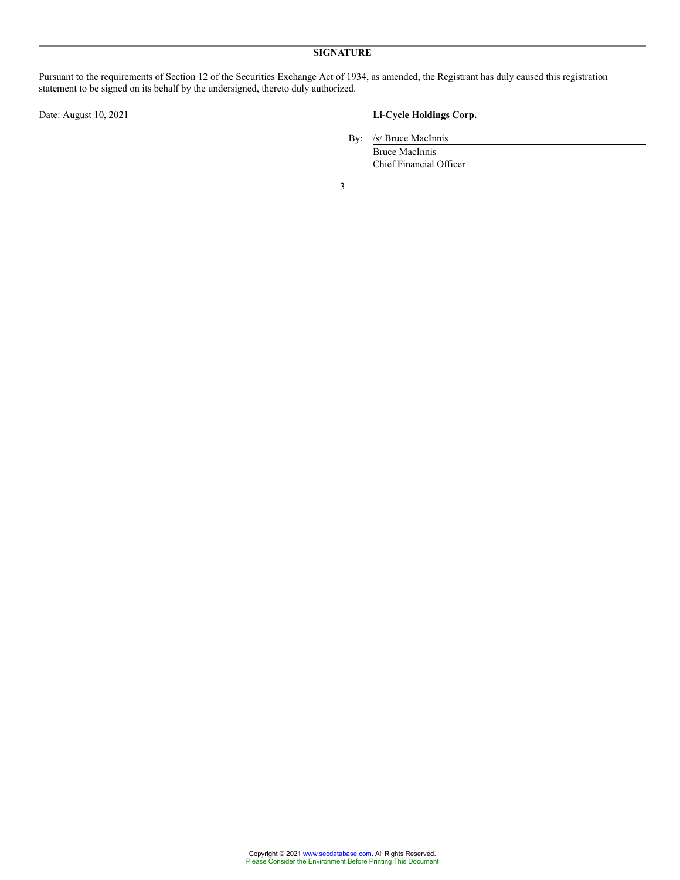Pursuant to the requirements of Section 12 of the Securities Exchange Act of 1934, as amended, the Registrant has duly caused this registration statement to be signed on its behalf by the undersigned, thereto duly authorized.

# Date: August 10, 2021 **Li-Cycle Holdings Corp.**

By: /s/ Bruce MacInnis

Bruce MacInnis Chief Financial Officer

3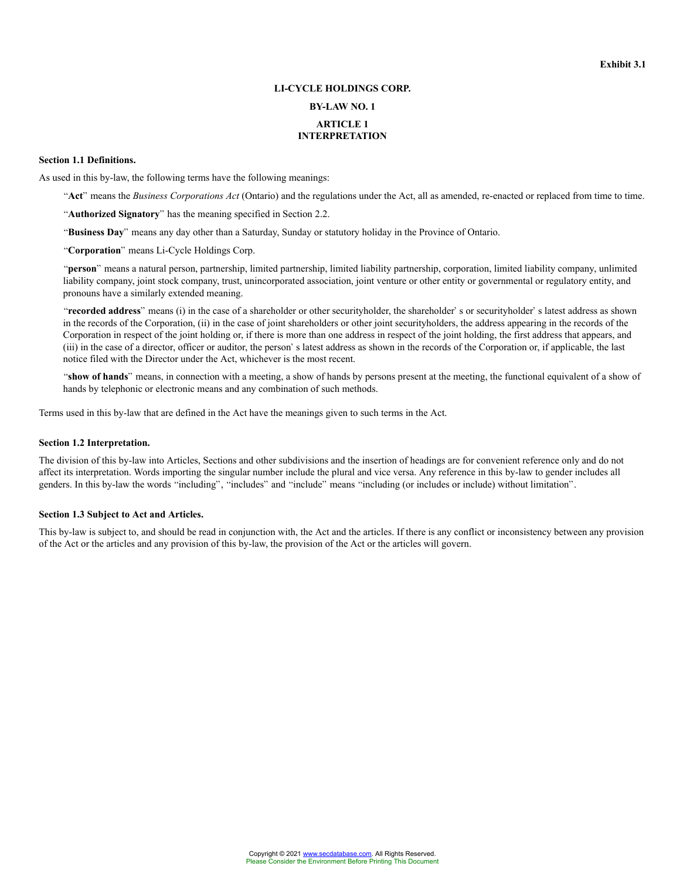# **LI-CYCLE HOLDINGS CORP.**

# **BY-LAW NO. 1**

# **ARTICLE 1 INTERPRETATION**

# **Section 1.1 Definitions.**

As used in this by-law, the following terms have the following meanings:

"Act" means the *Business Corporations Act* (Ontario) and the regulations under the Act, all as amended, re-enacted or replaced from time to time.

"Authorized Signatory" has the meaning specified in Section 2.2.

"Business Day" means any day other than a Saturday, Sunday or statutory holiday in the Province of Ontario.

"Corporation" means Li-Cycle Holdings Corp.

**person** means a natural person, partnership, limited partnership, limited liability partnership, corporation, limited liability company, unlimited liability company, joint stock company, trust, unincorporated association, joint venture or other entity or governmental or regulatory entity, and pronouns have a similarly extended meaning.

"recorded address" means (i) in the case of a shareholder or other securityholder, the shareholder' s or securityholder' s latest address as shown in the records of the Corporation, (ii) in the case of joint shareholders or other joint securityholders, the address appearing in the records of the Corporation in respect of the joint holding or, if there is more than one address in respect of the joint holding, the first address that appears, and  $(iii)$  in the case of a director, officer or auditor, the person's latest address as shown in the records of the Corporation or, if applicable, the last notice filed with the Director under the Act, whichever is the most recent.

"show of hands" means, in connection with a meeting, a show of hands by persons present at the meeting, the functional equivalent of a show of hands by telephonic or electronic means and any combination of such methods.

Terms used in this by-law that are defined in the Act have the meanings given to such terms in the Act.

#### **Section 1.2 Interpretation.**

The division of this by-law into Articles, Sections and other subdivisions and the insertion of headings are for convenient reference only and do not affect its interpretation. Words importing the singular number include the plural and vice versa. Any reference in this by-law to gender includes all genders. In this by-law the words "including", "includes" and "include" means "including (or includes or include) without limitation".

#### **Section 1.3 Subject to Act and Articles.**

This by-law is subject to, and should be read in conjunction with, the Act and the articles. If there is any conflict or inconsistency between any provision of the Act or the articles and any provision of this by-law, the provision of the Act or the articles will govern.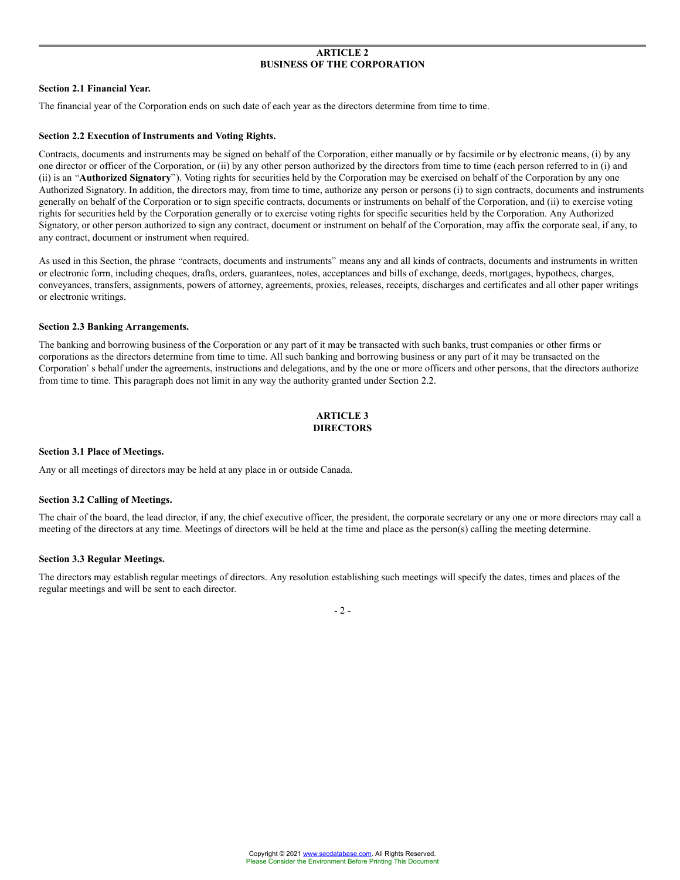#### **ARTICLE 2 BUSINESS OF THE CORPORATION**

#### **Section 2.1 Financial Year.**

The financial year of the Corporation ends on such date of each year as the directors determine from time to time.

#### **Section 2.2 Execution of Instruments and Voting Rights.**

Contracts, documents and instruments may be signed on behalf of the Corporation, either manually or by facsimile or by electronic means, (i) by any one director or officer of the Corporation, or (ii) by any other person authorized by the directors from time to time (each person referred to in (i) and (ii) is an **Authorized Signatory**). Voting rights for securities held by the Corporation may be exercised on behalf of the Corporation by any one Authorized Signatory. In addition, the directors may, from time to time, authorize any person or persons (i) to sign contracts, documents and instruments generally on behalf of the Corporation or to sign specific contracts, documents or instruments on behalf of the Corporation, and (ii) to exercise voting rights for securities held by the Corporation generally or to exercise voting rights for specific securities held by the Corporation. Any Authorized Signatory, or other person authorized to sign any contract, document or instrument on behalf of the Corporation, may affix the corporate seal, if any, to any contract, document or instrument when required.

As used in this Section, the phrase "contracts, documents and instruments" means any and all kinds of contracts, documents and instruments in written or electronic form, including cheques, drafts, orders, guarantees, notes, acceptances and bills of exchange, deeds, mortgages, hypothecs, charges, conveyances, transfers, assignments, powers of attorney, agreements, proxies, releases, receipts, discharges and certificates and all other paper writings or electronic writings.

#### **Section 2.3 Banking Arrangements.**

The banking and borrowing business of the Corporation or any part of it may be transacted with such banks, trust companies or other firms or corporations as the directors determine from time to time. All such banking and borrowing business or any part of it may be transacted on the Corporation's behalf under the agreements, instructions and delegations, and by the one or more officers and other persons, that the directors authorize from time to time. This paragraph does not limit in any way the authority granted under Section 2.2.

# **ARTICLE 3 DIRECTORS**

#### **Section 3.1 Place of Meetings.**

Any or all meetings of directors may be held at any place in or outside Canada.

#### **Section 3.2 Calling of Meetings.**

The chair of the board, the lead director, if any, the chief executive officer, the president, the corporate secretary or any one or more directors may call a meeting of the directors at any time. Meetings of directors will be held at the time and place as the person(s) calling the meeting determine.

#### **Section 3.3 Regular Meetings.**

The directors may establish regular meetings of directors. Any resolution establishing such meetings will specify the dates, times and places of the regular meetings and will be sent to each director.

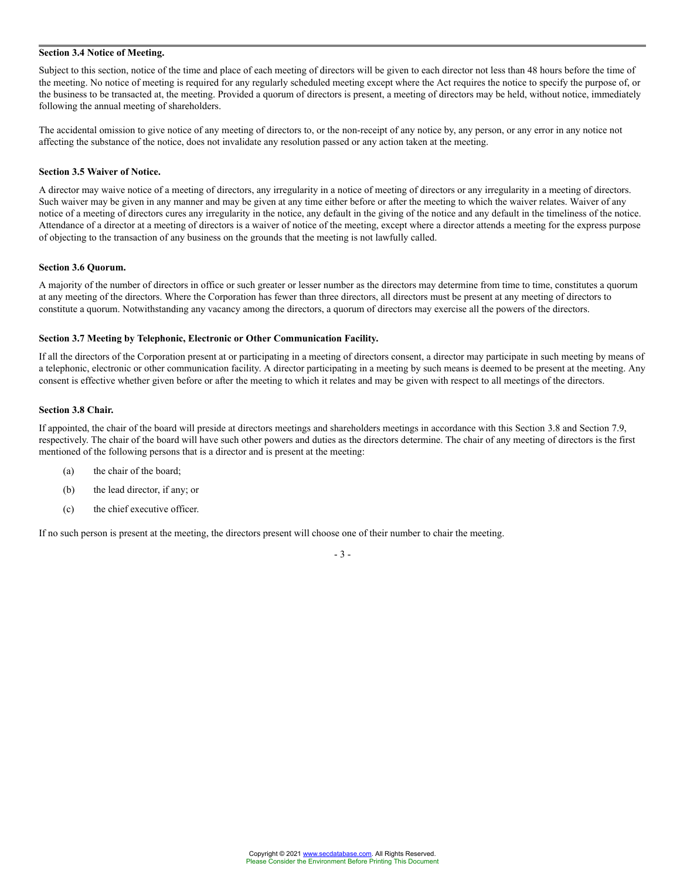#### **Section 3.4 Notice of Meeting.**

Subject to this section, notice of the time and place of each meeting of directors will be given to each director not less than 48 hours before the time of the meeting. No notice of meeting is required for any regularly scheduled meeting except where the Act requires the notice to specify the purpose of, or the business to be transacted at, the meeting. Provided a quorum of directors is present, a meeting of directors may be held, without notice, immediately following the annual meeting of shareholders.

The accidental omission to give notice of any meeting of directors to, or the non-receipt of any notice by, any person, or any error in any notice not affecting the substance of the notice, does not invalidate any resolution passed or any action taken at the meeting.

#### **Section 3.5 Waiver of Notice.**

A director may waive notice of a meeting of directors, any irregularity in a notice of meeting of directors or any irregularity in a meeting of directors. Such waiver may be given in any manner and may be given at any time either before or after the meeting to which the waiver relates. Waiver of any notice of a meeting of directors cures any irregularity in the notice, any default in the giving of the notice and any default in the timeliness of the notice. Attendance of a director at a meeting of directors is a waiver of notice of the meeting, except where a director attends a meeting for the express purpose of objecting to the transaction of any business on the grounds that the meeting is not lawfully called.

#### **Section 3.6 Quorum.**

A majority of the number of directors in office or such greater or lesser number as the directors may determine from time to time, constitutes a quorum at any meeting of the directors. Where the Corporation has fewer than three directors, all directors must be present at any meeting of directors to constitute a quorum. Notwithstanding any vacancy among the directors, a quorum of directors may exercise all the powers of the directors.

#### **Section 3.7 Meeting by Telephonic, Electronic or Other Communication Facility.**

If all the directors of the Corporation present at or participating in a meeting of directors consent, a director may participate in such meeting by means of a telephonic, electronic or other communication facility. A director participating in a meeting by such means is deemed to be present at the meeting. Any consent is effective whether given before or after the meeting to which it relates and may be given with respect to all meetings of the directors.

#### **Section 3.8 Chair.**

If appointed, the chair of the board will preside at directors meetings and shareholders meetings in accordance with this Section 3.8 and Section 7.9, respectively. The chair of the board will have such other powers and duties as the directors determine. The chair of any meeting of directors is the first mentioned of the following persons that is a director and is present at the meeting:

- (a) the chair of the board;
- (b) the lead director, if any; or
- (c) the chief executive officer.

If no such person is present at the meeting, the directors present will choose one of their number to chair the meeting.

- 3 -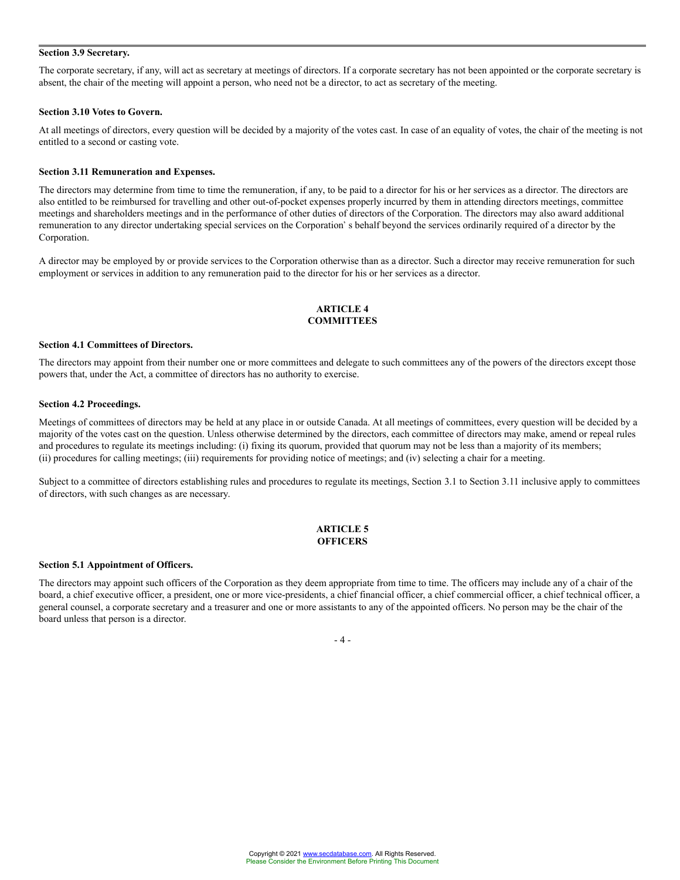### **Section 3.9 Secretary.**

The corporate secretary, if any, will act as secretary at meetings of directors. If a corporate secretary has not been appointed or the corporate secretary is absent, the chair of the meeting will appoint a person, who need not be a director, to act as secretary of the meeting.

#### **Section 3.10 Votes to Govern.**

At all meetings of directors, every question will be decided by a majority of the votes cast. In case of an equality of votes, the chair of the meeting is not entitled to a second or casting vote.

#### **Section 3.11 Remuneration and Expenses.**

The directors may determine from time to time the remuneration, if any, to be paid to a director for his or her services as a director. The directors are also entitled to be reimbursed for travelling and other out-of-pocket expenses properly incurred by them in attending directors meetings, committee meetings and shareholders meetings and in the performance of other duties of directors of the Corporation. The directors may also award additional remuneration to any director undertaking special services on the Corporation's behalf beyond the services ordinarily required of a director by the Corporation.

A director may be employed by or provide services to the Corporation otherwise than as a director. Such a director may receive remuneration for such employment or services in addition to any remuneration paid to the director for his or her services as a director.

# **ARTICLE 4 COMMITTEES**

#### **Section 4.1 Committees of Directors.**

The directors may appoint from their number one or more committees and delegate to such committees any of the powers of the directors except those powers that, under the Act, a committee of directors has no authority to exercise.

#### **Section 4.2 Proceedings.**

Meetings of committees of directors may be held at any place in or outside Canada. At all meetings of committees, every question will be decided by a majority of the votes cast on the question. Unless otherwise determined by the directors, each committee of directors may make, amend or repeal rules and procedures to regulate its meetings including: (i) fixing its quorum, provided that quorum may not be less than a majority of its members; (ii) procedures for calling meetings; (iii) requirements for providing notice of meetings; and (iv) selecting a chair for a meeting.

Subject to a committee of directors establishing rules and procedures to regulate its meetings, Section 3.1 to Section 3.11 inclusive apply to committees of directors, with such changes as are necessary.

# **ARTICLE 5 OFFICERS**

#### **Section 5.1 Appointment of Officers.**

The directors may appoint such officers of the Corporation as they deem appropriate from time to time. The officers may include any of a chair of the board, a chief executive officer, a president, one or more vice-presidents, a chief financial officer, a chief commercial officer, a chief technical officer, a general counsel, a corporate secretary and a treasurer and one or more assistants to any of the appointed officers. No person may be the chair of the board unless that person is a director.

#### $-4-$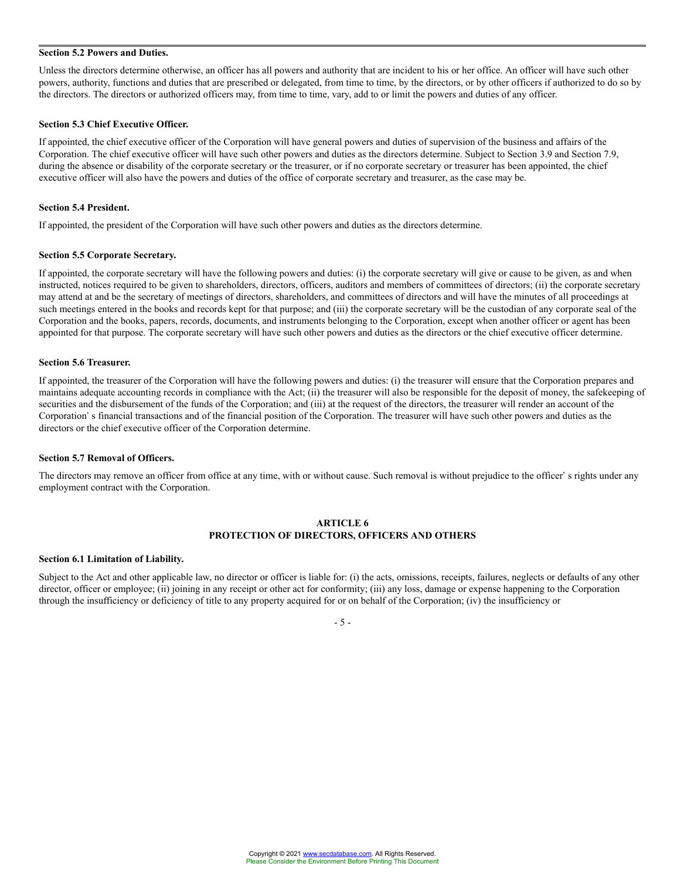# **Section 5.2 Powers and Duties.**

Unless the directors determine otherwise, an officer has all powers and authority that are incident to his or her office. An officer will have such other powers, authority, functions and duties that are prescribed or delegated, from time to time, by the directors, or by other officers if authorized to do so by the directors. The directors or authorized officers may, from time to time, vary, add to or limit the powers and duties of any officer.

#### **Section 5.3 Chief Executive Officer.**

If appointed, the chief executive officer of the Corporation will have general powers and duties of supervision of the business and affairs of the Corporation. The chief executive officer will have such other powers and duties as the directors determine. Subject to Section 3.9 and Section 7.9, during the absence or disability of the corporate secretary or the treasurer, or if no corporate secretary or treasurer has been appointed, the chief executive officer will also have the powers and duties of the office of corporate secretary and treasurer, as the case may be.

#### **Section 5.4 President.**

If appointed, the president of the Corporation will have such other powers and duties as the directors determine.

#### **Section 5.5 Corporate Secretary.**

If appointed, the corporate secretary will have the following powers and duties: (i) the corporate secretary will give or cause to be given, as and when instructed, notices required to be given to shareholders, directors, officers, auditors and members of committees of directors; (ii) the corporate secretary may attend at and be the secretary of meetings of directors, shareholders, and committees of directors and will have the minutes of all proceedings at such meetings entered in the books and records kept for that purpose; and (iii) the corporate secretary will be the custodian of any corporate seal of the Corporation and the books, papers, records, documents, and instruments belonging to the Corporation, except when another officer or agent has been appointed for that purpose. The corporate secretary will have such other powers and duties as the directors or the chief executive officer determine.

# **Section 5.6 Treasurer.**

If appointed, the treasurer of the Corporation will have the following powers and duties: (i) the treasurer will ensure that the Corporation prepares and maintains adequate accounting records in compliance with the Act; (ii) the treasurer will also be responsible for the deposit of money, the safekeeping of securities and the disbursement of the funds of the Corporation; and (iii) at the request of the directors, the treasurer will render an account of the Corporation's financial transactions and of the financial position of the Corporation. The treasurer will have such other powers and duties as the directors or the chief executive officer of the Corporation determine.

#### **Section 5.7 Removal of Officers.**

The directors may remove an officer from office at any time, with or without cause. Such removal is without prejudice to the officer' s rights under any employment contract with the Corporation.

#### **ARTICLE 6 PROTECTION OF DIRECTORS, OFFICERS AND OTHERS**

#### **Section 6.1 Limitation of Liability.**

Subject to the Act and other applicable law, no director or officer is liable for: (i) the acts, omissions, receipts, failures, neglects or defaults of any other director, officer or employee; (ii) joining in any receipt or other act for conformity; (iii) any loss, damage or expense happening to the Corporation through the insufficiency or deficiency of title to any property acquired for or on behalf of the Corporation; (iv) the insufficiency or

# - 5 -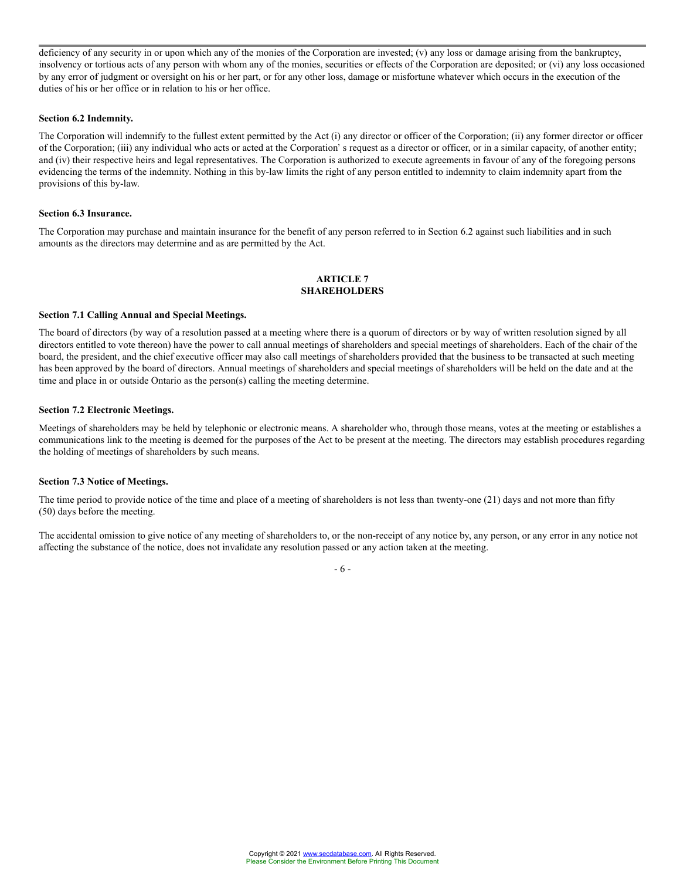deficiency of any security in or upon which any of the monies of the Corporation are invested; (v) any loss or damage arising from the bankruptcy, insolvency or tortious acts of any person with whom any of the monies, securities or effects of the Corporation are deposited; or (vi) any loss occasioned by any error of judgment or oversight on his or her part, or for any other loss, damage or misfortune whatever which occurs in the execution of the duties of his or her office or in relation to his or her office.

#### **Section 6.2 Indemnity.**

The Corporation will indemnify to the fullest extent permitted by the Act (i) any director or officer of the Corporation; (ii) any former director or officer of the Corporation; (iii) any individual who acts or acted at the Corporation's request as a director or officer, or in a similar capacity, of another entity; and (iv) their respective heirs and legal representatives. The Corporation is authorized to execute agreements in favour of any of the foregoing persons evidencing the terms of the indemnity. Nothing in this by-law limits the right of any person entitled to indemnity to claim indemnity apart from the provisions of this by-law.

#### **Section 6.3 Insurance.**

The Corporation may purchase and maintain insurance for the benefit of any person referred to in Section 6.2 against such liabilities and in such amounts as the directors may determine and as are permitted by the Act.

#### **ARTICLE 7 SHAREHOLDERS**

#### **Section 7.1 Calling Annual and Special Meetings.**

The board of directors (by way of a resolution passed at a meeting where there is a quorum of directors or by way of written resolution signed by all directors entitled to vote thereon) have the power to call annual meetings of shareholders and special meetings of shareholders. Each of the chair of the board, the president, and the chief executive officer may also call meetings of shareholders provided that the business to be transacted at such meeting has been approved by the board of directors. Annual meetings of shareholders and special meetings of shareholders will be held on the date and at the time and place in or outside Ontario as the person(s) calling the meeting determine.

#### **Section 7.2 Electronic Meetings.**

Meetings of shareholders may be held by telephonic or electronic means. A shareholder who, through those means, votes at the meeting or establishes a communications link to the meeting is deemed for the purposes of the Act to be present at the meeting. The directors may establish procedures regarding the holding of meetings of shareholders by such means.

### **Section 7.3 Notice of Meetings.**

The time period to provide notice of the time and place of a meeting of shareholders is not less than twenty-one (21) days and not more than fifty (50) days before the meeting.

The accidental omission to give notice of any meeting of shareholders to, or the non-receipt of any notice by, any person, or any error in any notice not affecting the substance of the notice, does not invalidate any resolution passed or any action taken at the meeting.

- 6 -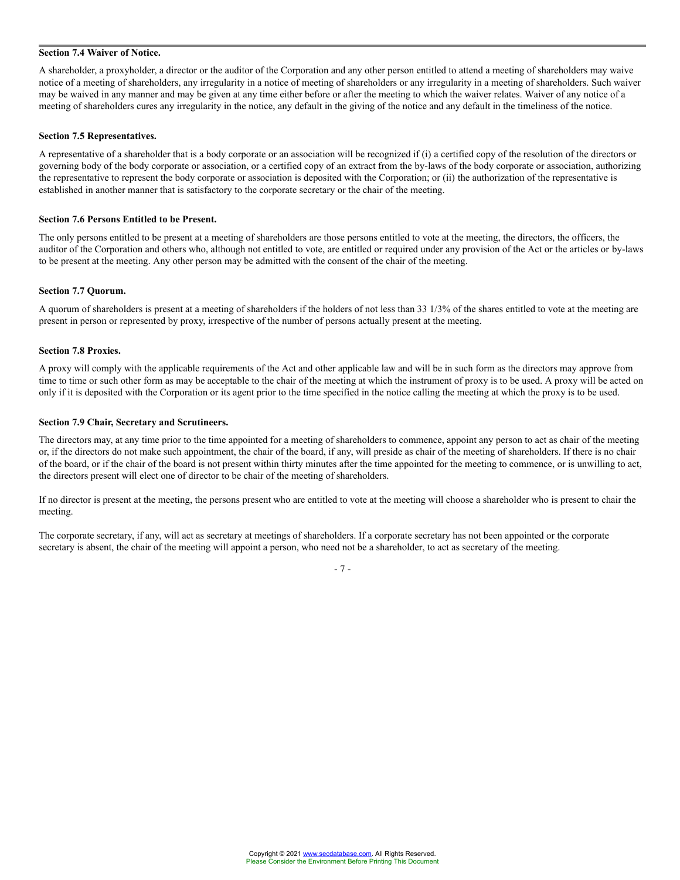# **Section 7.4 Waiver of Notice.**

A shareholder, a proxyholder, a director or the auditor of the Corporation and any other person entitled to attend a meeting of shareholders may waive notice of a meeting of shareholders, any irregularity in a notice of meeting of shareholders or any irregularity in a meeting of shareholders. Such waiver may be waived in any manner and may be given at any time either before or after the meeting to which the waiver relates. Waiver of any notice of a meeting of shareholders cures any irregularity in the notice, any default in the giving of the notice and any default in the timeliness of the notice.

## **Section 7.5 Representatives.**

A representative of a shareholder that is a body corporate or an association will be recognized if (i) a certified copy of the resolution of the directors or governing body of the body corporate or association, or a certified copy of an extract from the by-laws of the body corporate or association, authorizing the representative to represent the body corporate or association is deposited with the Corporation; or (ii) the authorization of the representative is established in another manner that is satisfactory to the corporate secretary or the chair of the meeting.

#### **Section 7.6 Persons Entitled to be Present.**

The only persons entitled to be present at a meeting of shareholders are those persons entitled to vote at the meeting, the directors, the officers, the auditor of the Corporation and others who, although not entitled to vote, are entitled or required under any provision of the Act or the articles or by-laws to be present at the meeting. Any other person may be admitted with the consent of the chair of the meeting.

#### **Section 7.7 Quorum.**

A quorum of shareholders is present at a meeting of shareholders if the holders of not less than 33 1/3% of the shares entitled to vote at the meeting are present in person or represented by proxy, irrespective of the number of persons actually present at the meeting.

#### **Section 7.8 Proxies.**

A proxy will comply with the applicable requirements of the Act and other applicable law and will be in such form as the directors may approve from time to time or such other form as may be acceptable to the chair of the meeting at which the instrument of proxy is to be used. A proxy will be acted on only if it is deposited with the Corporation or its agent prior to the time specified in the notice calling the meeting at which the proxy is to be used.

#### **Section 7.9 Chair, Secretary and Scrutineers.**

The directors may, at any time prior to the time appointed for a meeting of shareholders to commence, appoint any person to act as chair of the meeting or, if the directors do not make such appointment, the chair of the board, if any, will preside as chair of the meeting of shareholders. If there is no chair of the board, or if the chair of the board is not present within thirty minutes after the time appointed for the meeting to commence, or is unwilling to act, the directors present will elect one of director to be chair of the meeting of shareholders.

If no director is present at the meeting, the persons present who are entitled to vote at the meeting will choose a shareholder who is present to chair the meeting.

The corporate secretary, if any, will act as secretary at meetings of shareholders. If a corporate secretary has not been appointed or the corporate secretary is absent, the chair of the meeting will appoint a person, who need not be a shareholder, to act as secretary of the meeting.

- 7 -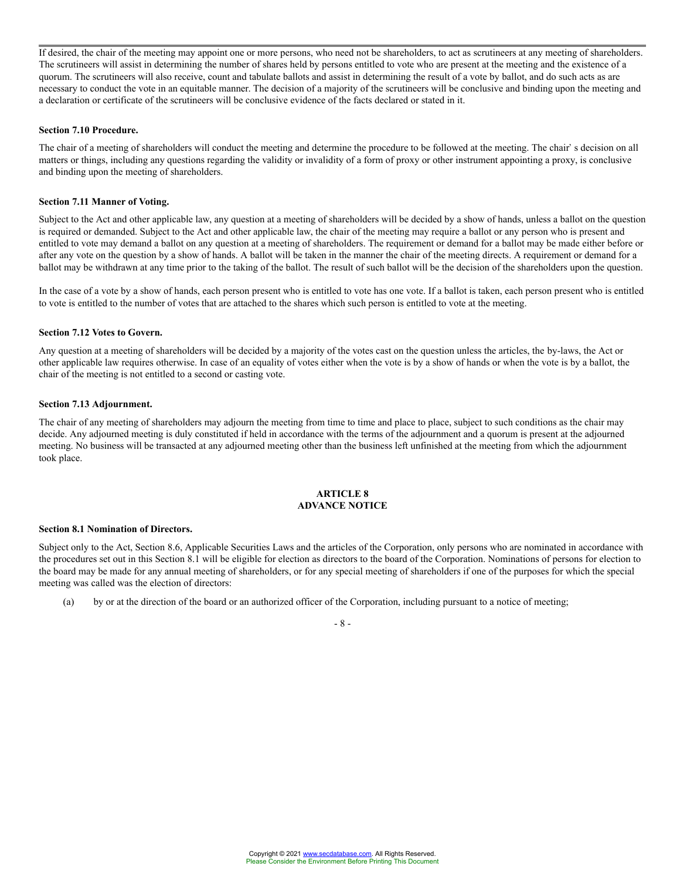If desired, the chair of the meeting may appoint one or more persons, who need not be shareholders, to act as scrutineers at any meeting of shareholders. The scrutineers will assist in determining the number of shares held by persons entitled to vote who are present at the meeting and the existence of a quorum. The scrutineers will also receive, count and tabulate ballots and assist in determining the result of a vote by ballot, and do such acts as are necessary to conduct the vote in an equitable manner. The decision of a majority of the scrutineers will be conclusive and binding upon the meeting and a declaration or certificate of the scrutineers will be conclusive evidence of the facts declared or stated in it.

#### **Section 7.10 Procedure.**

The chair of a meeting of shareholders will conduct the meeting and determine the procedure to be followed at the meeting. The chair's decision on all matters or things, including any questions regarding the validity or invalidity of a form of proxy or other instrument appointing a proxy, is conclusive and binding upon the meeting of shareholders.

# **Section 7.11 Manner of Voting.**

Subject to the Act and other applicable law, any question at a meeting of shareholders will be decided by a show of hands, unless a ballot on the question is required or demanded. Subject to the Act and other applicable law, the chair of the meeting may require a ballot or any person who is present and entitled to vote may demand a ballot on any question at a meeting of shareholders. The requirement or demand for a ballot may be made either before or after any vote on the question by a show of hands. A ballot will be taken in the manner the chair of the meeting directs. A requirement or demand for a ballot may be withdrawn at any time prior to the taking of the ballot. The result of such ballot will be the decision of the shareholders upon the question.

In the case of a vote by a show of hands, each person present who is entitled to vote has one vote. If a ballot is taken, each person present who is entitled to vote is entitled to the number of votes that are attached to the shares which such person is entitled to vote at the meeting.

#### **Section 7.12 Votes to Govern.**

Any question at a meeting of shareholders will be decided by a majority of the votes cast on the question unless the articles, the by-laws, the Act or other applicable law requires otherwise. In case of an equality of votes either when the vote is by a show of hands or when the vote is by a ballot, the chair of the meeting is not entitled to a second or casting vote.

#### **Section 7.13 Adjournment.**

The chair of any meeting of shareholders may adjourn the meeting from time to time and place to place, subject to such conditions as the chair may decide. Any adjourned meeting is duly constituted if held in accordance with the terms of the adjournment and a quorum is present at the adjourned meeting. No business will be transacted at any adjourned meeting other than the business left unfinished at the meeting from which the adjournment took place.

# **ARTICLE 8 ADVANCE NOTICE**

# **Section 8.1 Nomination of Directors.**

Subject only to the Act, Section 8.6, Applicable Securities Laws and the articles of the Corporation, only persons who are nominated in accordance with the procedures set out in this Section 8.1 will be eligible for election as directors to the board of the Corporation. Nominations of persons for election to the board may be made for any annual meeting of shareholders, or for any special meeting of shareholders if one of the purposes for which the special meeting was called was the election of directors:

(a) by or at the direction of the board or an authorized officer of the Corporation, including pursuant to a notice of meeting;

# $- 8 -$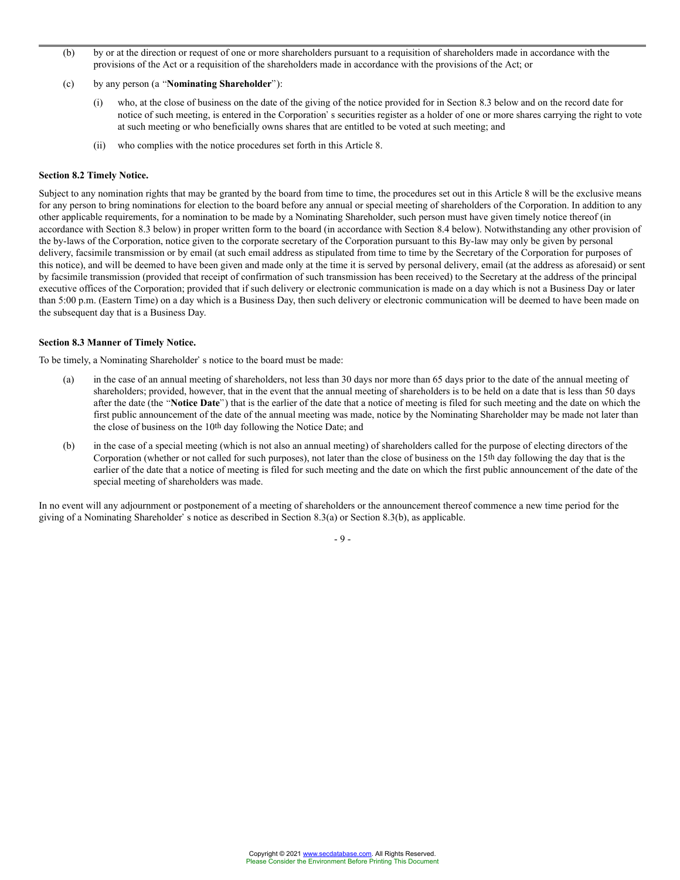- (b) by or at the direction or request of one or more shareholders pursuant to a requisition of shareholders made in accordance with the provisions of the Act or a requisition of the shareholders made in accordance with the provisions of the Act; or
- (c) by any person (a "**Nominating Shareholder**"):
	- (i) who, at the close of business on the date of the giving of the notice provided for in Section 8.3 below and on the record date for notice of such meeting, is entered in the Corporation's securities register as a holder of one or more shares carrying the right to vote at such meeting or who beneficially owns shares that are entitled to be voted at such meeting; and
	- (ii) who complies with the notice procedures set forth in this Article 8.

### **Section 8.2 Timely Notice.**

Subject to any nomination rights that may be granted by the board from time to time, the procedures set out in this Article 8 will be the exclusive means for any person to bring nominations for election to the board before any annual or special meeting of shareholders of the Corporation. In addition to any other applicable requirements, for a nomination to be made by a Nominating Shareholder, such person must have given timely notice thereof (in accordance with Section 8.3 below) in proper written form to the board (in accordance with Section 8.4 below). Notwithstanding any other provision of the by-laws of the Corporation, notice given to the corporate secretary of the Corporation pursuant to this By-law may only be given by personal delivery, facsimile transmission or by email (at such email address as stipulated from time to time by the Secretary of the Corporation for purposes of this notice), and will be deemed to have been given and made only at the time it is served by personal delivery, email (at the address as aforesaid) or sent by facsimile transmission (provided that receipt of confirmation of such transmission has been received) to the Secretary at the address of the principal executive offices of the Corporation; provided that if such delivery or electronic communication is made on a day which is not a Business Day or later than 5:00 p.m. (Eastern Time) on a day which is a Business Day, then such delivery or electronic communication will be deemed to have been made on the subsequent day that is a Business Day.

# **Section 8.3 Manner of Timely Notice.**

To be timely, a Nominating Shareholder's notice to the board must be made:

- (a) in the case of an annual meeting of shareholders, not less than 30 days nor more than 65 days prior to the date of the annual meeting of shareholders; provided, however, that in the event that the annual meeting of shareholders is to be held on a date that is less than 50 days after the date (the "Notice Date") that is the earlier of the date that a notice of meeting is filed for such meeting and the date on which the first public announcement of the date of the annual meeting was made, notice by the Nominating Shareholder may be made not later than the close of business on the 10th day following the Notice Date; and
- (b) in the case of a special meeting (which is not also an annual meeting) of shareholders called for the purpose of electing directors of the Corporation (whether or not called for such purposes), not later than the close of business on the 15th day following the day that is the earlier of the date that a notice of meeting is filed for such meeting and the date on which the first public announcement of the date of the special meeting of shareholders was made.

In no event will any adjournment or postponement of a meeting of shareholders or the announcement thereof commence a new time period for the giving of a Nominating Shareholder's notice as described in Section 8.3(a) or Section 8.3(b), as applicable.

- 9 -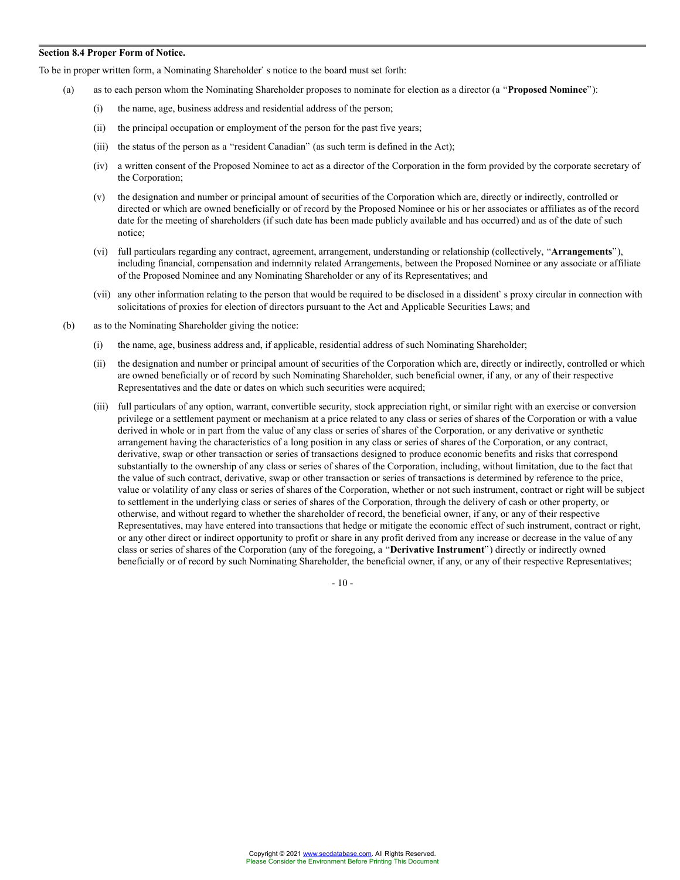#### **Section 8.4 Proper Form of Notice.**

To be in proper written form, a Nominating Shareholder' s notice to the board must set forth:

- (a) as to each person whom the Nominating Shareholder proposes to nominate for election as a director (a "**Proposed Nominee**"):
	- (i) the name, age, business address and residential address of the person;
	- (ii) the principal occupation or employment of the person for the past five years;
	- (iii) the status of the person as a "resident Canadian" (as such term is defined in the Act);
	- (iv) a written consent of the Proposed Nominee to act as a director of the Corporation in the form provided by the corporate secretary of the Corporation;
	- (v) the designation and number or principal amount of securities of the Corporation which are, directly or indirectly, controlled or directed or which are owned beneficially or of record by the Proposed Nominee or his or her associates or affiliates as of the record date for the meeting of shareholders (if such date has been made publicly available and has occurred) and as of the date of such notice;
	- (vi) full particulars regarding any contract, agreement, arrangement, understanding or relationship (collectively, "**Arrangements**"), including financial, compensation and indemnity related Arrangements, between the Proposed Nominee or any associate or affiliate of the Proposed Nominee and any Nominating Shareholder or any of its Representatives; and
	- (vii) any other information relating to the person that would be required to be disclosed in a dissident's proxy circular in connection with solicitations of proxies for election of directors pursuant to the Act and Applicable Securities Laws; and
- (b) as to the Nominating Shareholder giving the notice:
	- (i) the name, age, business address and, if applicable, residential address of such Nominating Shareholder;
	- (ii) the designation and number or principal amount of securities of the Corporation which are, directly or indirectly, controlled or which are owned beneficially or of record by such Nominating Shareholder, such beneficial owner, if any, or any of their respective Representatives and the date or dates on which such securities were acquired;
	- (iii) full particulars of any option, warrant, convertible security, stock appreciation right, or similar right with an exercise or conversion privilege or a settlement payment or mechanism at a price related to any class or series of shares of the Corporation or with a value derived in whole or in part from the value of any class or series of shares of the Corporation, or any derivative or synthetic arrangement having the characteristics of a long position in any class or series of shares of the Corporation, or any contract, derivative, swap or other transaction or series of transactions designed to produce economic benefits and risks that correspond substantially to the ownership of any class or series of shares of the Corporation, including, without limitation, due to the fact that the value of such contract, derivative, swap or other transaction or series of transactions is determined by reference to the price, value or volatility of any class or series of shares of the Corporation, whether or not such instrument, contract or right will be subject to settlement in the underlying class or series of shares of the Corporation, through the delivery of cash or other property, or otherwise, and without regard to whether the shareholder of record, the beneficial owner, if any, or any of their respective Representatives, may have entered into transactions that hedge or mitigate the economic effect of such instrument, contract or right, or any other direct or indirect opportunity to profit or share in any profit derived from any increase or decrease in the value of any class or series of shares of the Corporation (any of the foregoing, a "Derivative Instrument") directly or indirectly owned beneficially or of record by such Nominating Shareholder, the beneficial owner, if any, or any of their respective Representatives;

- 10 -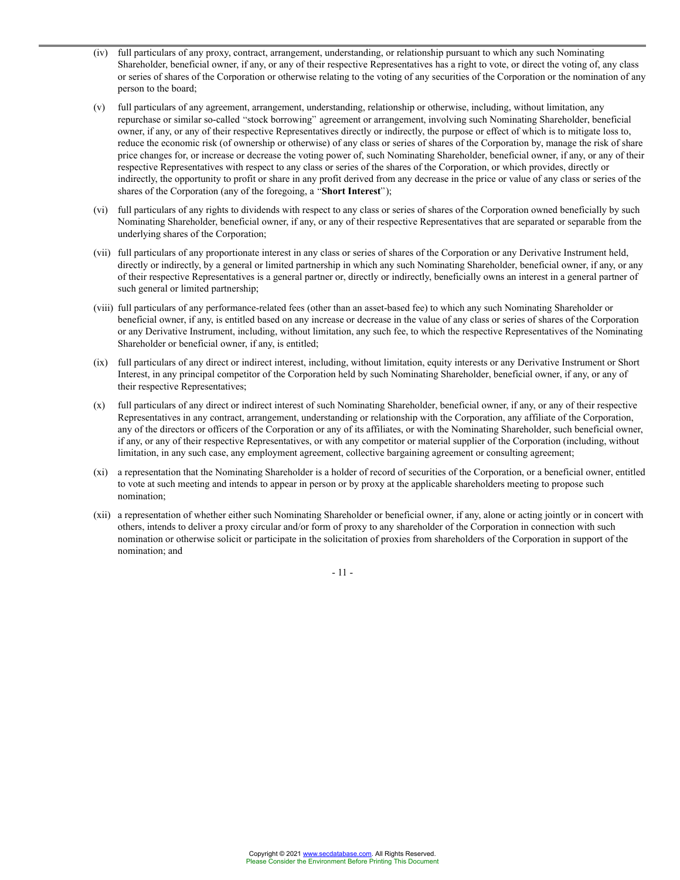- (iv) full particulars of any proxy, contract, arrangement, understanding, or relationship pursuant to which any such Nominating Shareholder, beneficial owner, if any, or any of their respective Representatives has a right to vote, or direct the voting of, any class or series of shares of the Corporation or otherwise relating to the voting of any securities of the Corporation or the nomination of any person to the board;
- (v) full particulars of any agreement, arrangement, understanding, relationship or otherwise, including, without limitation, any repurchase or similar so-called "stock borrowing" agreement or arrangement, involving such Nominating Shareholder, beneficial owner, if any, or any of their respective Representatives directly or indirectly, the purpose or effect of which is to mitigate loss to, reduce the economic risk (of ownership or otherwise) of any class or series of shares of the Corporation by, manage the risk of share price changes for, or increase or decrease the voting power of, such Nominating Shareholder, beneficial owner, if any, or any of their respective Representatives with respect to any class or series of the shares of the Corporation, or which provides, directly or indirectly, the opportunity to profit or share in any profit derived from any decrease in the price or value of any class or series of the shares of the Corporation (any of the foregoing, a "**Short Interest**");
- (vi) full particulars of any rights to dividends with respect to any class or series of shares of the Corporation owned beneficially by such Nominating Shareholder, beneficial owner, if any, or any of their respective Representatives that are separated or separable from the underlying shares of the Corporation;
- (vii) full particulars of any proportionate interest in any class or series of shares of the Corporation or any Derivative Instrument held, directly or indirectly, by a general or limited partnership in which any such Nominating Shareholder, beneficial owner, if any, or any of their respective Representatives is a general partner or, directly or indirectly, beneficially owns an interest in a general partner of such general or limited partnership;
- (viii) full particulars of any performance-related fees (other than an asset-based fee) to which any such Nominating Shareholder or beneficial owner, if any, is entitled based on any increase or decrease in the value of any class or series of shares of the Corporation or any Derivative Instrument, including, without limitation, any such fee, to which the respective Representatives of the Nominating Shareholder or beneficial owner, if any, is entitled;
- (ix) full particulars of any direct or indirect interest, including, without limitation, equity interests or any Derivative Instrument or Short Interest, in any principal competitor of the Corporation held by such Nominating Shareholder, beneficial owner, if any, or any of their respective Representatives;
- (x) full particulars of any direct or indirect interest of such Nominating Shareholder, beneficial owner, if any, or any of their respective Representatives in any contract, arrangement, understanding or relationship with the Corporation, any affiliate of the Corporation, any of the directors or officers of the Corporation or any of its affiliates, or with the Nominating Shareholder, such beneficial owner, if any, or any of their respective Representatives, or with any competitor or material supplier of the Corporation (including, without limitation, in any such case, any employment agreement, collective bargaining agreement or consulting agreement;
- (xi) a representation that the Nominating Shareholder is a holder of record of securities of the Corporation, or a beneficial owner, entitled to vote at such meeting and intends to appear in person or by proxy at the applicable shareholders meeting to propose such nomination;
- (xii) a representation of whether either such Nominating Shareholder or beneficial owner, if any, alone or acting jointly or in concert with others, intends to deliver a proxy circular and/or form of proxy to any shareholder of the Corporation in connection with such nomination or otherwise solicit or participate in the solicitation of proxies from shareholders of the Corporation in support of the nomination; and

- 11 -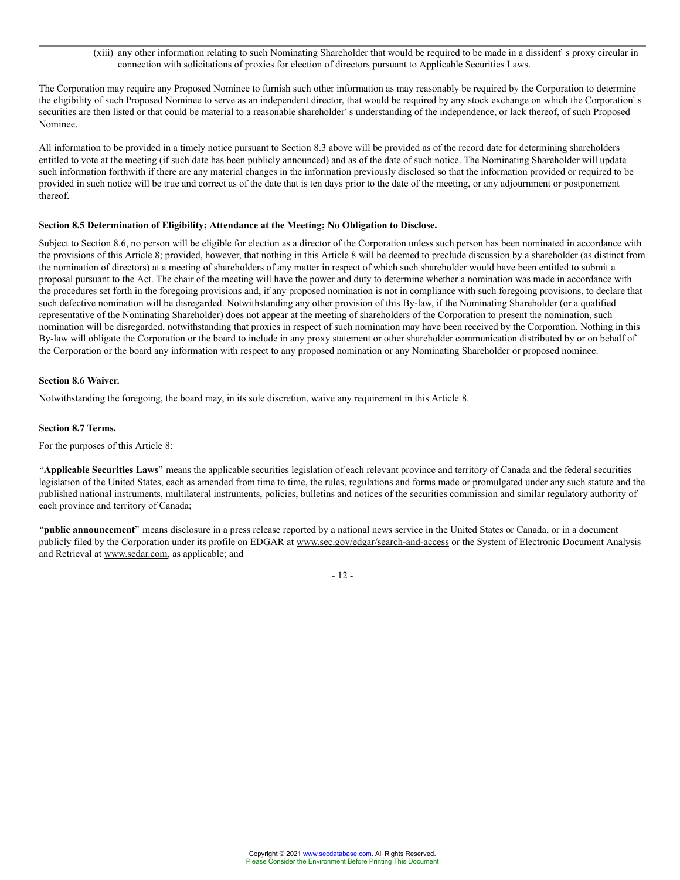(xiii) any other information relating to such Nominating Shareholder that would be required to be made in a dissident's proxy circular in connection with solicitations of proxies for election of directors pursuant to Applicable Securities Laws.

The Corporation may require any Proposed Nominee to furnish such other information as may reasonably be required by the Corporation to determine the eligibility of such Proposed Nominee to serve as an independent director, that would be required by any stock exchange on which the Corporation's securities are then listed or that could be material to a reasonable shareholder' s understanding of the independence, or lack thereof, of such Proposed Nominee.

All information to be provided in a timely notice pursuant to Section 8.3 above will be provided as of the record date for determining shareholders entitled to vote at the meeting (if such date has been publicly announced) and as of the date of such notice. The Nominating Shareholder will update such information forthwith if there are any material changes in the information previously disclosed so that the information provided or required to be provided in such notice will be true and correct as of the date that is ten days prior to the date of the meeting, or any adjournment or postponement thereof.

### **Section 8.5 Determination of Eligibility; Attendance at the Meeting; No Obligation to Disclose.**

Subject to Section 8.6, no person will be eligible for election as a director of the Corporation unless such person has been nominated in accordance with the provisions of this Article 8; provided, however, that nothing in this Article 8 will be deemed to preclude discussion by a shareholder (as distinct from the nomination of directors) at a meeting of shareholders of any matter in respect of which such shareholder would have been entitled to submit a proposal pursuant to the Act. The chair of the meeting will have the power and duty to determine whether a nomination was made in accordance with the procedures set forth in the foregoing provisions and, if any proposed nomination is not in compliance with such foregoing provisions, to declare that such defective nomination will be disregarded. Notwithstanding any other provision of this By-law, if the Nominating Shareholder (or a qualified representative of the Nominating Shareholder) does not appear at the meeting of shareholders of the Corporation to present the nomination, such nomination will be disregarded, notwithstanding that proxies in respect of such nomination may have been received by the Corporation. Nothing in this By-law will obligate the Corporation or the board to include in any proxy statement or other shareholder communication distributed by or on behalf of the Corporation or the board any information with respect to any proposed nomination or any Nominating Shareholder or proposed nominee.

#### **Section 8.6 Waiver.**

Notwithstanding the foregoing, the board may, in its sole discretion, waive any requirement in this Article 8.

#### **Section 8.7 Terms.**

For the purposes of this Article 8:

"Applicable Securities Laws" means the applicable securities legislation of each relevant province and territory of Canada and the federal securities legislation of the United States, each as amended from time to time, the rules, regulations and forms made or promulgated under any such statute and the published national instruments, multilateral instruments, policies, bulletins and notices of the securities commission and similar regulatory authority of each province and territory of Canada;

"public announcement" means disclosure in a press release reported by a national news service in the United States or Canada, or in a document publicly filed by the Corporation under its profile on EDGAR at www.sec.gov/edgar/search-and-access or the System of Electronic Document Analysis and Retrieval at www.sedar.com, as applicable; and

- 12 -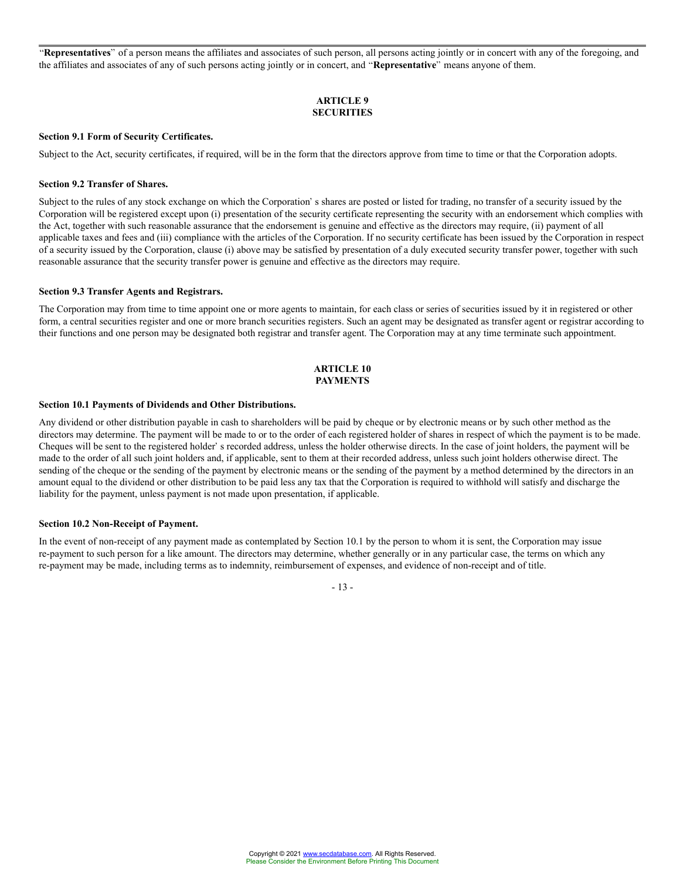"Representatives" of a person means the affiliates and associates of such person, all persons acting jointly or in concert with any of the foregoing, and the affiliates and associates of any of such persons acting jointly or in concert, and **Representative**" means anyone of them.

# **ARTICLE 9 SECURITIES**

#### **Section 9.1 Form of Security Certificates.**

Subject to the Act, security certificates, if required, will be in the form that the directors approve from time to time or that the Corporation adopts.

#### **Section 9.2 Transfer of Shares.**

Subject to the rules of any stock exchange on which the Corporation's shares are posted or listed for trading, no transfer of a security issued by the Corporation will be registered except upon (i) presentation of the security certificate representing the security with an endorsement which complies with the Act, together with such reasonable assurance that the endorsement is genuine and effective as the directors may require, (ii) payment of all applicable taxes and fees and (iii) compliance with the articles of the Corporation. If no security certificate has been issued by the Corporation in respect of a security issued by the Corporation, clause (i) above may be satisfied by presentation of a duly executed security transfer power, together with such reasonable assurance that the security transfer power is genuine and effective as the directors may require.

# **Section 9.3 Transfer Agents and Registrars.**

The Corporation may from time to time appoint one or more agents to maintain, for each class or series of securities issued by it in registered or other form, a central securities register and one or more branch securities registers. Such an agent may be designated as transfer agent or registrar according to their functions and one person may be designated both registrar and transfer agent. The Corporation may at any time terminate such appointment.

#### **ARTICLE 10 PAYMENTS**

#### **Section 10.1 Payments of Dividends and Other Distributions.**

Any dividend or other distribution payable in cash to shareholders will be paid by cheque or by electronic means or by such other method as the directors may determine. The payment will be made to or to the order of each registered holder of shares in respect of which the payment is to be made. Cheques will be sent to the registered holder' s recorded address, unless the holder otherwise directs. In the case of joint holders, the payment will be made to the order of all such joint holders and, if applicable, sent to them at their recorded address, unless such joint holders otherwise direct. The sending of the cheque or the sending of the payment by electronic means or the sending of the payment by a method determined by the directors in an amount equal to the dividend or other distribution to be paid less any tax that the Corporation is required to withhold will satisfy and discharge the liability for the payment, unless payment is not made upon presentation, if applicable.

#### **Section 10.2 Non-Receipt of Payment.**

In the event of non-receipt of any payment made as contemplated by Section 10.1 by the person to whom it is sent, the Corporation may issue re-payment to such person for a like amount. The directors may determine, whether generally or in any particular case, the terms on which any re-payment may be made, including terms as to indemnity, reimbursement of expenses, and evidence of non-receipt and of title.

- 13 -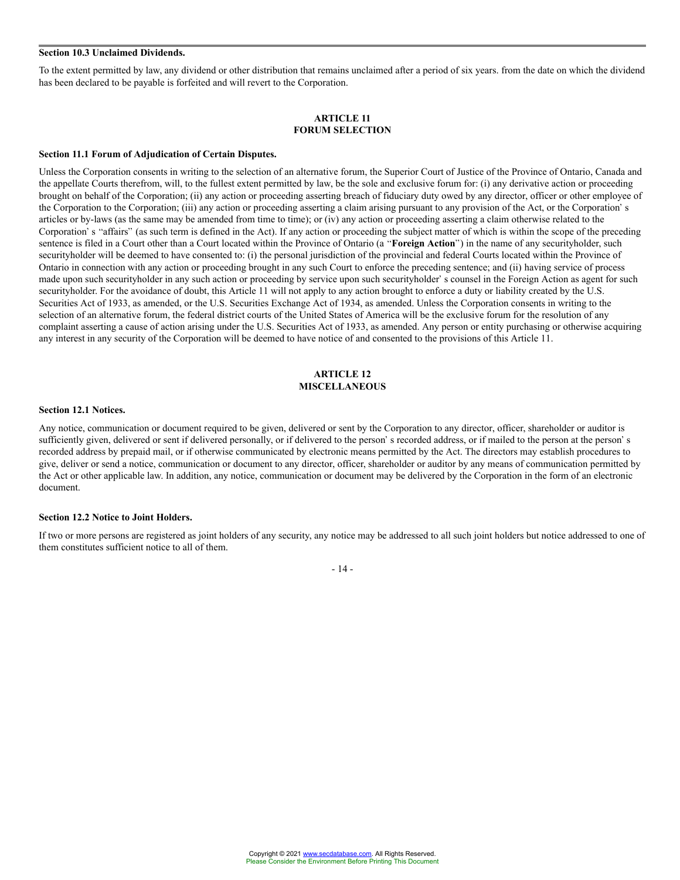#### **Section 10.3 Unclaimed Dividends.**

To the extent permitted by law, any dividend or other distribution that remains unclaimed after a period of six years. from the date on which the dividend has been declared to be payable is forfeited and will revert to the Corporation.

#### **ARTICLE 11 FORUM SELECTION**

#### **Section 11.1 Forum of Adjudication of Certain Disputes.**

Unless the Corporation consents in writing to the selection of an alternative forum, the Superior Court of Justice of the Province of Ontario, Canada and the appellate Courts therefrom, will, to the fullest extent permitted by law, be the sole and exclusive forum for: (i) any derivative action or proceeding brought on behalf of the Corporation; (ii) any action or proceeding asserting breach of fiduciary duty owed by any director, officer or other employee of the Corporation to the Corporation; (iii) any action or proceeding asserting a claim arising pursuant to any provision of the Act, or the Corporation's articles or by-laws (as the same may be amended from time to time); or (iv) any action or proceeding asserting a claim otherwise related to the Corporation's "affairs" (as such term is defined in the Act). If any action or proceeding the subject matter of which is within the scope of the preceding sentence is filed in a Court other than a Court located within the Province of Ontario (a "**Foreign Action**") in the name of any securityholder, such securityholder will be deemed to have consented to: (i) the personal jurisdiction of the provincial and federal Courts located within the Province of Ontario in connection with any action or proceeding brought in any such Court to enforce the preceding sentence; and (ii) having service of process made upon such securityholder in any such action or proceeding by service upon such securityholder's counsel in the Foreign Action as agent for such securityholder. For the avoidance of doubt, this Article 11 will not apply to any action brought to enforce a duty or liability created by the U.S. Securities Act of 1933, as amended, or the U.S. Securities Exchange Act of 1934, as amended. Unless the Corporation consents in writing to the selection of an alternative forum, the federal district courts of the United States of America will be the exclusive forum for the resolution of any complaint asserting a cause of action arising under the U.S. Securities Act of 1933, as amended. Any person or entity purchasing or otherwise acquiring any interest in any security of the Corporation will be deemed to have notice of and consented to the provisions of this Article 11.

# **ARTICLE 12 MISCELLANEOUS**

#### **Section 12.1 Notices.**

Any notice, communication or document required to be given, delivered or sent by the Corporation to any director, officer, shareholder or auditor is sufficiently given, delivered or sent if delivered personally, or if delivered to the person's recorded address, or if mailed to the person at the person's recorded address by prepaid mail, or if otherwise communicated by electronic means permitted by the Act. The directors may establish procedures to give, deliver or send a notice, communication or document to any director, officer, shareholder or auditor by any means of communication permitted by the Act or other applicable law. In addition, any notice, communication or document may be delivered by the Corporation in the form of an electronic document.

#### **Section 12.2 Notice to Joint Holders.**

If two or more persons are registered as joint holders of any security, any notice may be addressed to all such joint holders but notice addressed to one of them constitutes sufficient notice to all of them.

- 14 -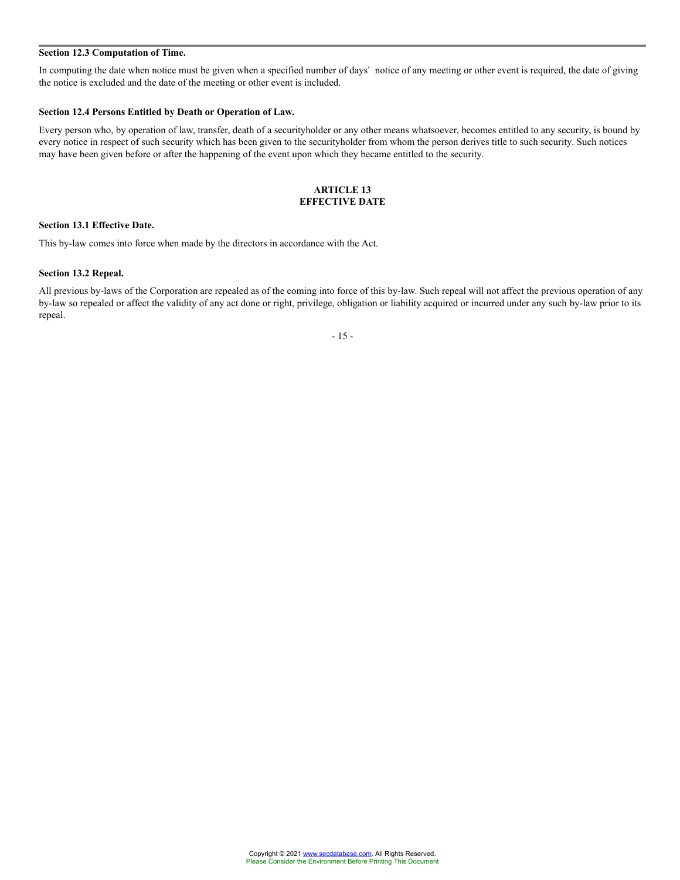# **Section 12.3 Computation of Time.**

In computing the date when notice must be given when a specified number of days' notice of any meeting or other event is required, the date of giving the notice is excluded and the date of the meeting or other event is included.

## **Section 12.4 Persons Entitled by Death or Operation of Law.**

Every person who, by operation of law, transfer, death of a securityholder or any other means whatsoever, becomes entitled to any security, is bound by every notice in respect of such security which has been given to the securityholder from whom the person derives title to such security. Such notices may have been given before or after the happening of the event upon which they became entitled to the security.

## **ARTICLE 13 EFFECTIVE DATE**

# **Section 13.1 Effective Date.**

This by-law comes into force when made by the directors in accordance with the Act.

# **Section 13.2 Repeal.**

All previous by-laws of the Corporation are repealed as of the coming into force of this by-law. Such repeal will not affect the previous operation of any by-law so repealed or affect the validity of any act done or right, privilege, obligation or liability acquired or incurred under any such by-law prior to its repeal.

- 15 -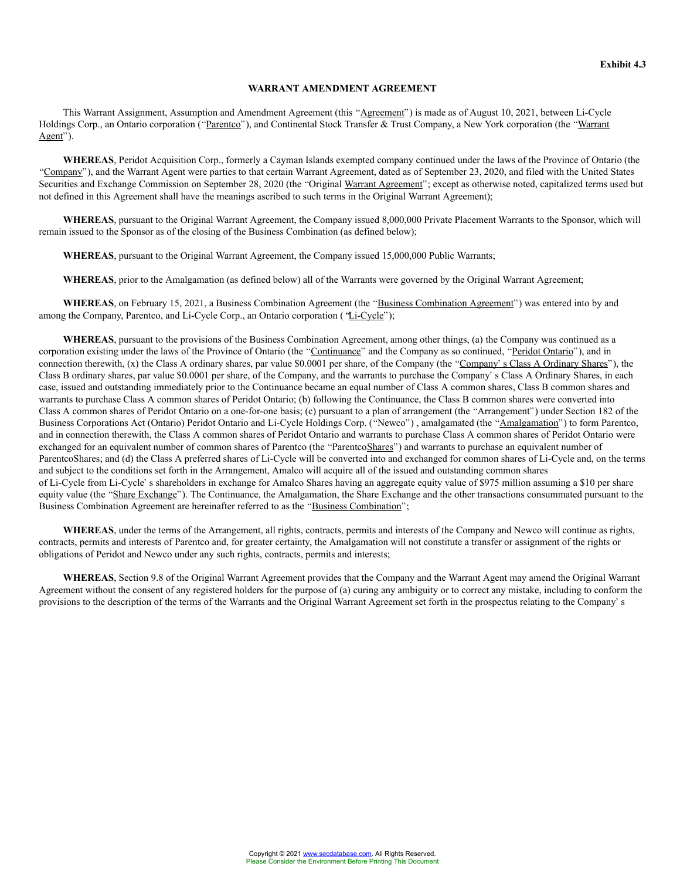#### **WARRANT AMENDMENT AGREEMENT**

This Warrant Assignment, Assumption and Amendment Agreement (this "Agreement") is made as of August 10, 2021, between Li-Cycle Holdings Corp., an Ontario corporation ("Parentco"), and Continental Stock Transfer & Trust Company, a New York corporation (the "Warrant Agent").

**WHEREAS**, Peridot Acquisition Corp., formerly a Cayman Islands exempted company continued under the laws of the Province of Ontario (the "Company"), and the Warrant Agent were parties to that certain Warrant Agreement, dated as of September 23, 2020, and filed with the United States Securities and Exchange Commission on September 28, 2020 (the "Original Warrant Agreement"; except as otherwise noted, capitalized terms used but not defined in this Agreement shall have the meanings ascribed to such terms in the Original Warrant Agreement);

**WHEREAS**, pursuant to the Original Warrant Agreement, the Company issued 8,000,000 Private Placement Warrants to the Sponsor, which will remain issued to the Sponsor as of the closing of the Business Combination (as defined below);

**WHEREAS**, pursuant to the Original Warrant Agreement, the Company issued 15,000,000 Public Warrants;

**WHEREAS**, prior to the Amalgamation (as defined below) all of the Warrants were governed by the Original Warrant Agreement;

WHEREAS, on February 15, 2021, a Business Combination Agreement (the "Business Combination Agreement") was entered into by and among the Company, Parentco, and Li-Cycle Corp., an Ontario corporation ("Li-Cycle");

**WHEREAS**, pursuant to the provisions of the Business Combination Agreement, among other things, (a) the Company was continued as a corporation existing under the laws of the Province of Ontario (the "Continuance" and the Company as so continued, "Peridot Ontario"), and in connection therewith,  $(x)$  the Class A ordinary shares, par value \$0.0001 per share, of the Company (the "Company's Class A Ordinary Shares"), the Class B ordinary shares, par value \$0.0001 per share, of the Company, and the warrants to purchase the Company's Class A Ordinary Shares, in each case, issued and outstanding immediately prior to the Continuance became an equal number of Class A common shares, Class B common shares and warrants to purchase Class A common shares of Peridot Ontario; (b) following the Continuance, the Class B common shares were converted into Class A common shares of Peridot Ontario on a one-for-one basis; (c) pursuant to a plan of arrangement (the "Arrangement") under Section 182 of the Business Corporations Act (Ontario) Peridot Ontario and Li-Cycle Holdings Corp. ("Newco"), amalgamated (the "Amalgamation") to form Parentco, and in connection therewith, the Class A common shares of Peridot Ontario and warrants to purchase Class A common shares of Peridot Ontario were exchanged for an equivalent number of common shares of Parentco (the "ParentcoShares") and warrants to purchase an equivalent number of ParentcoShares; and (d) the Class A preferred shares of Li-Cycle will be converted into and exchanged for common shares of Li-Cycle and, on the terms and subject to the conditions set forth in the Arrangement, Amalco will acquire all of the issued and outstanding common shares of Li-Cycle from Li-Cycle's shareholders in exchange for Amalco Shares having an aggregate equity value of \$975 million assuming a \$10 per share equity value (the "Share Exchange"). The Continuance, the Amalgamation, the Share Exchange and the other transactions consummated pursuant to the Business Combination Agreement are hereinafter referred to as the "Business Combination";

**WHEREAS**, under the terms of the Arrangement, all rights, contracts, permits and interests of the Company and Newco will continue as rights, contracts, permits and interests of Parentco and, for greater certainty, the Amalgamation will not constitute a transfer or assignment of the rights or obligations of Peridot and Newco under any such rights, contracts, permits and interests;

**WHEREAS**, Section 9.8 of the Original Warrant Agreement provides that the Company and the Warrant Agent may amend the Original Warrant Agreement without the consent of any registered holders for the purpose of (a) curing any ambiguity or to correct any mistake, including to conform the provisions to the description of the terms of the Warrants and the Original Warrant Agreement set forth in the prospectus relating to the Company's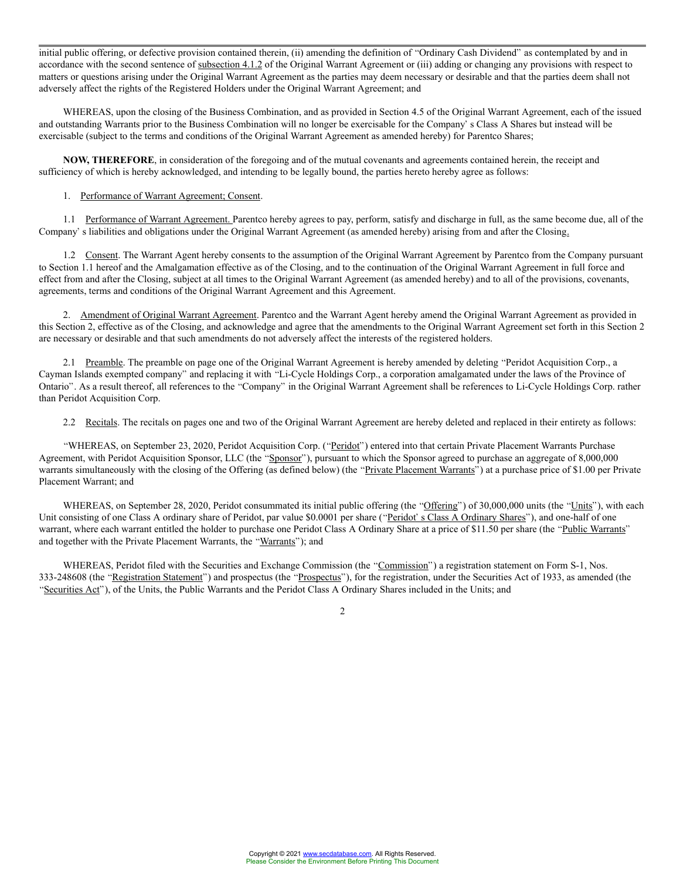initial public offering, or defective provision contained therein, (ii) amending the definition of "Ordinary Cash Dividend" as contemplated by and in accordance with the second sentence of subsection 4.1.2 of the Original Warrant Agreement or (iii) adding or changing any provisions with respect to matters or questions arising under the Original Warrant Agreement as the parties may deem necessary or desirable and that the parties deem shall not adversely affect the rights of the Registered Holders under the Original Warrant Agreement; and

WHEREAS, upon the closing of the Business Combination, and as provided in Section 4.5 of the Original Warrant Agreement, each of the issued and outstanding Warrants prior to the Business Combination will no longer be exercisable for the Company's Class A Shares but instead will be exercisable (subject to the terms and conditions of the Original Warrant Agreement as amended hereby) for Parentco Shares;

**NOW, THEREFORE**, in consideration of the foregoing and of the mutual covenants and agreements contained herein, the receipt and sufficiency of which is hereby acknowledged, and intending to be legally bound, the parties hereto hereby agree as follows:

### 1. Performance of Warrant Agreement; Consent.

1.1 Performance of Warrant Agreement. Parentco hereby agrees to pay, perform, satisfy and discharge in full, as the same become due, all of the Company's liabilities and obligations under the Original Warrant Agreement (as amended hereby) arising from and after the Closing.

1.2 Consent. The Warrant Agent hereby consents to the assumption of the Original Warrant Agreement by Parentco from the Company pursuant to Section 1.1 hereof and the Amalgamation effective as of the Closing, and to the continuation of the Original Warrant Agreement in full force and effect from and after the Closing, subject at all times to the Original Warrant Agreement (as amended hereby) and to all of the provisions, covenants, agreements, terms and conditions of the Original Warrant Agreement and this Agreement.

2. Amendment of Original Warrant Agreement. Parentco and the Warrant Agent hereby amend the Original Warrant Agreement as provided in this Section 2, effective as of the Closing, and acknowledge and agree that the amendments to the Original Warrant Agreement set forth in this Section 2 are necessary or desirable and that such amendments do not adversely affect the interests of the registered holders.

2.1 Preamble. The preamble on page one of the Original Warrant Agreement is hereby amended by deleting "Peridot Acquisition Corp., a Cayman Islands exempted company" and replacing it with "Li-Cycle Holdings Corp., a corporation amalgamated under the laws of the Province of Ontario". As a result thereof, all references to the "Company" in the Original Warrant Agreement shall be references to Li-Cycle Holdings Corp. rather than Peridot Acquisition Corp.

2.2 Recitals. The recitals on pages one and two of the Original Warrant Agreement are hereby deleted and replaced in their entirety as follows:

"WHEREAS, on September 23, 2020, Peridot Acquisition Corp. ("Peridot") entered into that certain Private Placement Warrants Purchase Agreement, with Peridot Acquisition Sponsor, LLC (the "Sponsor"), pursuant to which the Sponsor agreed to purchase an aggregate of 8,000,000 warrants simultaneously with the closing of the Offering (as defined below) (the "Private Placement Warrants") at a purchase price of \$1.00 per Private Placement Warrant; and

WHEREAS, on September 28, 2020, Peridot consummated its initial public offering (the "Offering") of 30,000,000 units (the "Units"), with each Unit consisting of one Class A ordinary share of Peridot, par value \$0.0001 per share ("Peridot's Class A Ordinary Shares"), and one-half of one warrant, where each warrant entitled the holder to purchase one Peridot Class A Ordinary Share at a price of \$11.50 per share (the "Public Warrants" and together with the Private Placement Warrants, the "Warrants"); and

WHEREAS, Peridot filed with the Securities and Exchange Commission (the "Commission") a registration statement on Form S-1, Nos. 333-248608 (the "Registration Statement") and prospectus (the "Prospectus"), for the registration, under the Securities Act of 1933, as amended (the "Securities Act"), of the Units, the Public Warrants and the Peridot Class A Ordinary Shares included in the Units; and

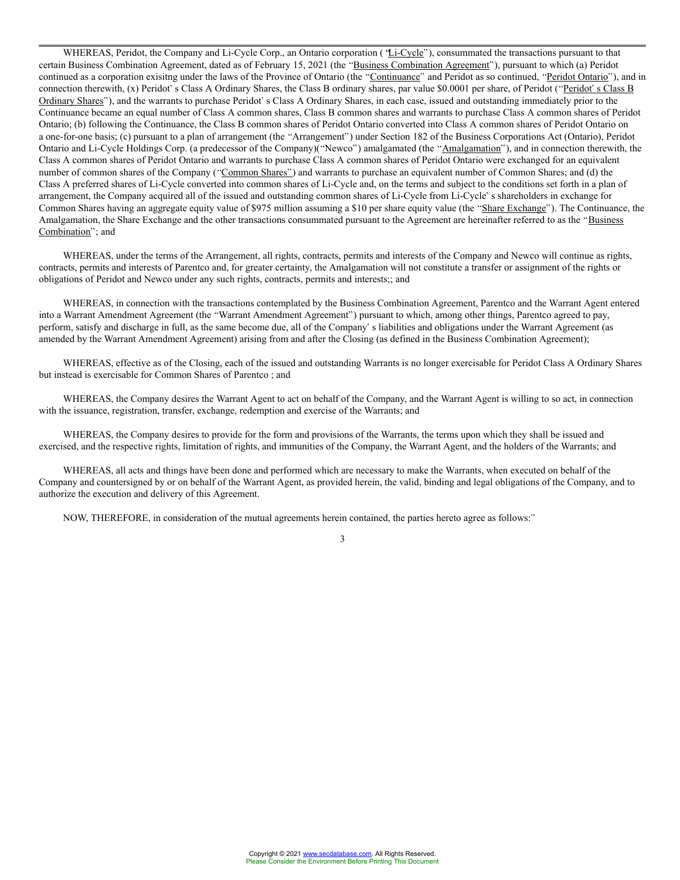WHEREAS, Peridot, the Company and Li-Cycle Corp., an Ontario corporation ('Li-Cycle''), consummated the transactions pursuant to that certain Business Combination Agreement, dated as of February 15, 2021 (the "Business Combination Agreement"), pursuant to which (a) Peridot continued as a corporation exisitng under the laws of the Province of Ontario (the "Continuance" and Peridot as so continued, "Peridot Ontario"), and in connection therewith, (x) Peridot's Class A Ordinary Shares, the Class B ordinary shares, par value \$0.0001 per share, of Peridot ("Peridot's Class B Ordinary Shares"), and the warrants to purchase Peridot's Class A Ordinary Shares, in each case, issued and outstanding immediately prior to the Continuance became an equal number of Class A common shares, Class B common shares and warrants to purchase Class A common shares of Peridot Ontario; (b) following the Continuance, the Class B common shares of Peridot Ontario converted into Class A common shares of Peridot Ontario on a one-for-one basis; (c) pursuant to a plan of arrangement (the "Arrangement") under Section 182 of the Business Corporations Act (Ontario), Peridot Ontario and Li-Cycle Holdings Corp. (a predecessor of the Company)("Newco") amalgamated (the "Amalgamation"), and in connection therewith, the Class A common shares of Peridot Ontario and warrants to purchase Class A common shares of Peridot Ontario were exchanged for an equivalent number of common shares of the Company ("Common Shares") and warrants to purchase an equivalent number of Common Shares; and (d) the Class A preferred shares of Li-Cycle converted into common shares of Li-Cycle and, on the terms and subject to the conditions set forth in a plan of arrangement, the Company acquired all of the issued and outstanding common shares of Li-Cycle from Li-Cycle's shareholders in exchange for Common Shares having an aggregate equity value of \$975 million assuming a \$10 per share equity value (the "Share Exchange"). The Continuance, the Amalgamation, the Share Exchange and the other transactions consummated pursuant to the Agreement are hereinafter referred to as the "Business" Combination"; and

WHEREAS, under the terms of the Arrangement, all rights, contracts, permits and interests of the Company and Newco will continue as rights, contracts, permits and interests of Parentco and, for greater certainty, the Amalgamation will not constitute a transfer or assignment of the rights or obligations of Peridot and Newco under any such rights, contracts, permits and interests;; and

WHEREAS, in connection with the transactions contemplated by the Business Combination Agreement, Parentco and the Warrant Agent entered into a Warrant Amendment Agreement (the "Warrant Amendment Agreement") pursuant to which, among other things, Parentco agreed to pay, perform, satisfy and discharge in full, as the same become due, all of the Company's liabilities and obligations under the Warrant Agreement (as amended by the Warrant Amendment Agreement) arising from and after the Closing (as defined in the Business Combination Agreement);

WHEREAS, effective as of the Closing, each of the issued and outstanding Warrants is no longer exercisable for Peridot Class A Ordinary Shares but instead is exercisable for Common Shares of Parentco ; and

WHEREAS, the Company desires the Warrant Agent to act on behalf of the Company, and the Warrant Agent is willing to so act, in connection with the issuance, registration, transfer, exchange, redemption and exercise of the Warrants; and

WHEREAS, the Company desires to provide for the form and provisions of the Warrants, the terms upon which they shall be issued and exercised, and the respective rights, limitation of rights, and immunities of the Company, the Warrant Agent, and the holders of the Warrants; and

WHEREAS, all acts and things have been done and performed which are necessary to make the Warrants, when executed on behalf of the Company and countersigned by or on behalf of the Warrant Agent, as provided herein, the valid, binding and legal obligations of the Company, and to authorize the execution and delivery of this Agreement.

NOW, THEREFORE, in consideration of the mutual agreements herein contained, the parties hereto agree as follows:

3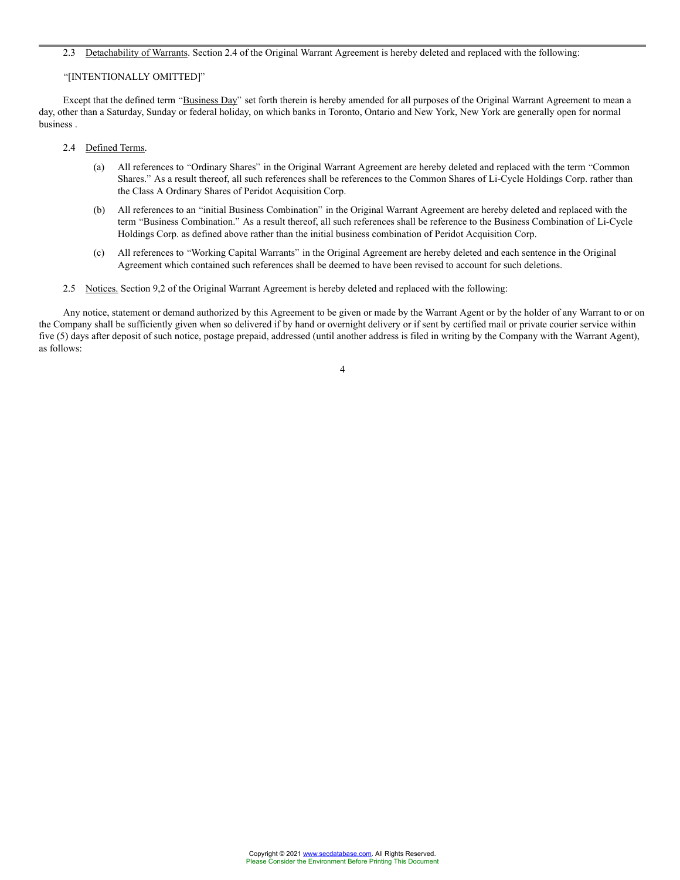#### 2.3 Detachability of Warrants. Section 2.4 of the Original Warrant Agreement is hereby deleted and replaced with the following:

#### "[INTENTIONALLY OMITTED]"

Except that the defined term "Business Day" set forth therein is hereby amended for all purposes of the Original Warrant Agreement to mean a day, other than a Saturday, Sunday or federal holiday, on which banks in Toronto, Ontario and New York, New York are generally open for normal business .

#### 2.4 Defined Terms.

- (a) All references to "Ordinary Shares" in the Original Warrant Agreement are hereby deleted and replaced with the term "Common Shares." As a result thereof, all such references shall be references to the Common Shares of Li-Cycle Holdings Corp. rather than the Class A Ordinary Shares of Peridot Acquisition Corp.
- (b) All references to an "initial Business Combination" in the Original Warrant Agreement are hereby deleted and replaced with the term "Business Combination." As a result thereof, all such references shall be reference to the Business Combination of Li-Cycle Holdings Corp. as defined above rather than the initial business combination of Peridot Acquisition Corp.
- (c) All references to Working Capital Warrants in the Original Agreement are hereby deleted and each sentence in the Original Agreement which contained such references shall be deemed to have been revised to account for such deletions.
- 2.5 Notices. Section 9,2 of the Original Warrant Agreement is hereby deleted and replaced with the following:

Any notice, statement or demand authorized by this Agreement to be given or made by the Warrant Agent or by the holder of any Warrant to or on the Company shall be sufficiently given when so delivered if by hand or overnight delivery or if sent by certified mail or private courier service within five (5) days after deposit of such notice, postage prepaid, addressed (until another address is filed in writing by the Company with the Warrant Agent), as follows:

4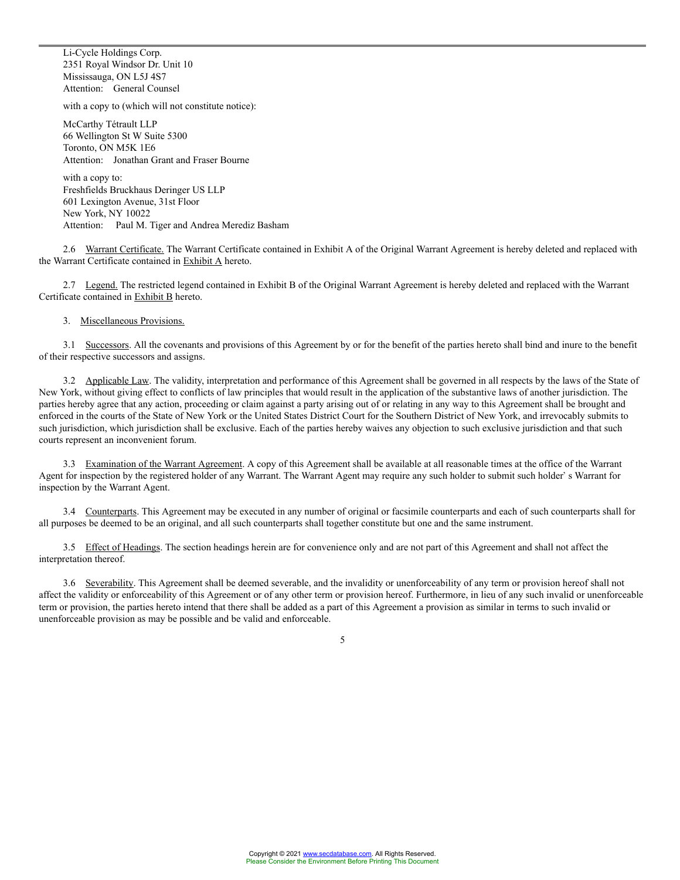Li-Cycle Holdings Corp. 2351 Royal Windsor Dr. Unit 10 Mississauga, ON L5J 4S7 Attention: General Counsel

with a copy to (which will not constitute notice):

McCarthy Tétrault LLP 66 Wellington St W Suite 5300 Toronto, ON M5K 1E6 Attention: Jonathan Grant and Fraser Bourne

with a conv to: Freshfields Bruckhaus Deringer US LLP 601 Lexington Avenue, 31st Floor New York, NY 10022 Attention: Paul M. Tiger and Andrea Merediz Basham

2.6 Warrant Certificate. The Warrant Certificate contained in Exhibit A of the Original Warrant Agreement is hereby deleted and replaced with the Warrant Certificate contained in Exhibit A hereto.

2.7 Legend. The restricted legend contained in Exhibit B of the Original Warrant Agreement is hereby deleted and replaced with the Warrant Certificate contained in Exhibit B hereto.

# 3. Miscellaneous Provisions.

3.1 Successors. All the covenants and provisions of this Agreement by or for the benefit of the parties hereto shall bind and inure to the benefit of their respective successors and assigns.

3.2 Applicable Law. The validity, interpretation and performance of this Agreement shall be governed in all respects by the laws of the State of New York, without giving effect to conflicts of law principles that would result in the application of the substantive laws of another jurisdiction. The parties hereby agree that any action, proceeding or claim against a party arising out of or relating in any way to this Agreement shall be brought and enforced in the courts of the State of New York or the United States District Court for the Southern District of New York, and irrevocably submits to such jurisdiction, which jurisdiction shall be exclusive. Each of the parties hereby waives any objection to such exclusive jurisdiction and that such courts represent an inconvenient forum.

3.3 Examination of the Warrant Agreement. A copy of this Agreement shall be available at all reasonable times at the office of the Warrant Agent for inspection by the registered holder of any Warrant. The Warrant Agent may require any such holder to submit such holder's Warrant for inspection by the Warrant Agent.

3.4 Counterparts. This Agreement may be executed in any number of original or facsimile counterparts and each of such counterparts shall for all purposes be deemed to be an original, and all such counterparts shall together constitute but one and the same instrument.

3.5 Effect of Headings. The section headings herein are for convenience only and are not part of this Agreement and shall not affect the interpretation thereof.

3.6 Severability. This Agreement shall be deemed severable, and the invalidity or unenforceability of any term or provision hereof shall not affect the validity or enforceability of this Agreement or of any other term or provision hereof. Furthermore, in lieu of any such invalid or unenforceable term or provision, the parties hereto intend that there shall be added as a part of this Agreement a provision as similar in terms to such invalid or unenforceable provision as may be possible and be valid and enforceable.

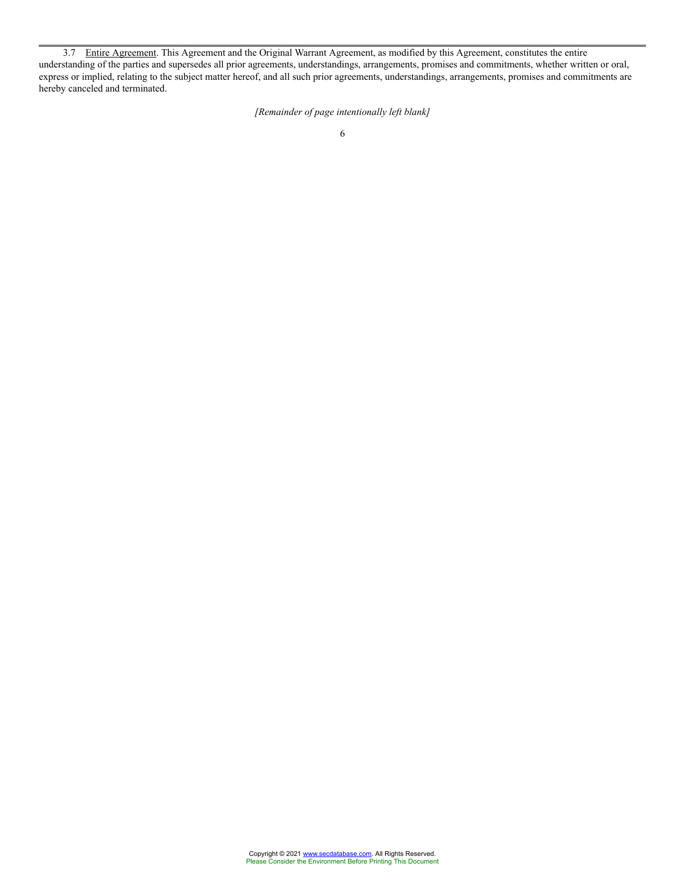3.7 Entire Agreement. This Agreement and the Original Warrant Agreement, as modified by this Agreement, constitutes the entire understanding of the parties and supersedes all prior agreements, understandings, arrangements, promises and commitments, whether written or oral, express or implied, relating to the subject matter hereof, and all such prior agreements, understandings, arrangements, promises and commitments are hereby canceled and terminated.

*[Remainder of page intentionally left blank]*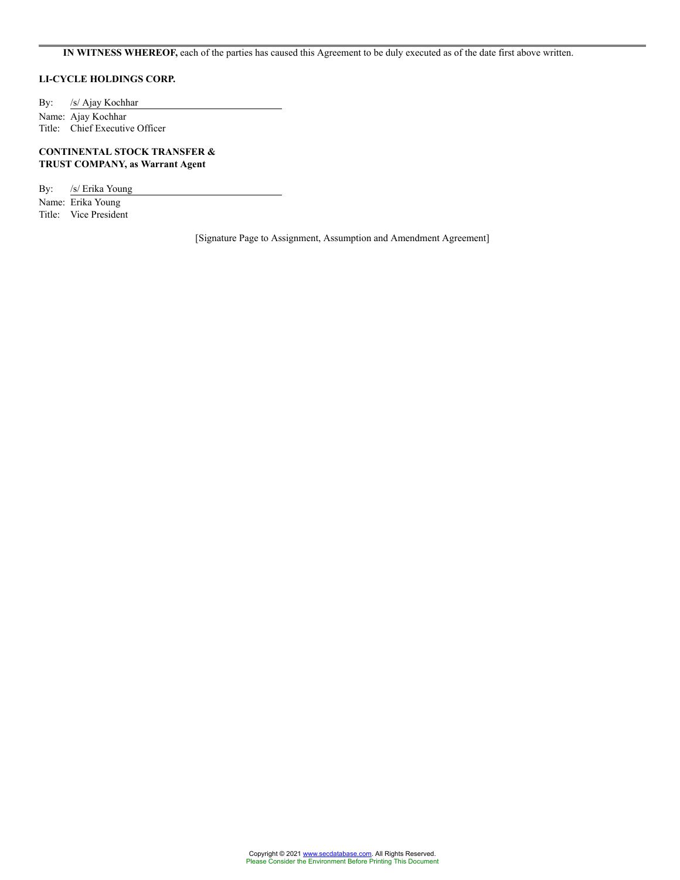# **IN WITNESS WHEREOF,** each of the parties has caused this Agreement to be duly executed as of the date first above written.

# **LI-CYCLE HOLDINGS CORP.**

By: /s/ Ajay Kochhar Name: Ajay Kochhar Title: Chief Executive Officer

# **CONTINENTAL STOCK TRANSFER & TRUST COMPANY, as Warrant Agent**

By: /s/ Erika Young

Name: Erika Young Title: Vice President

[Signature Page to Assignment, Assumption and Amendment Agreement]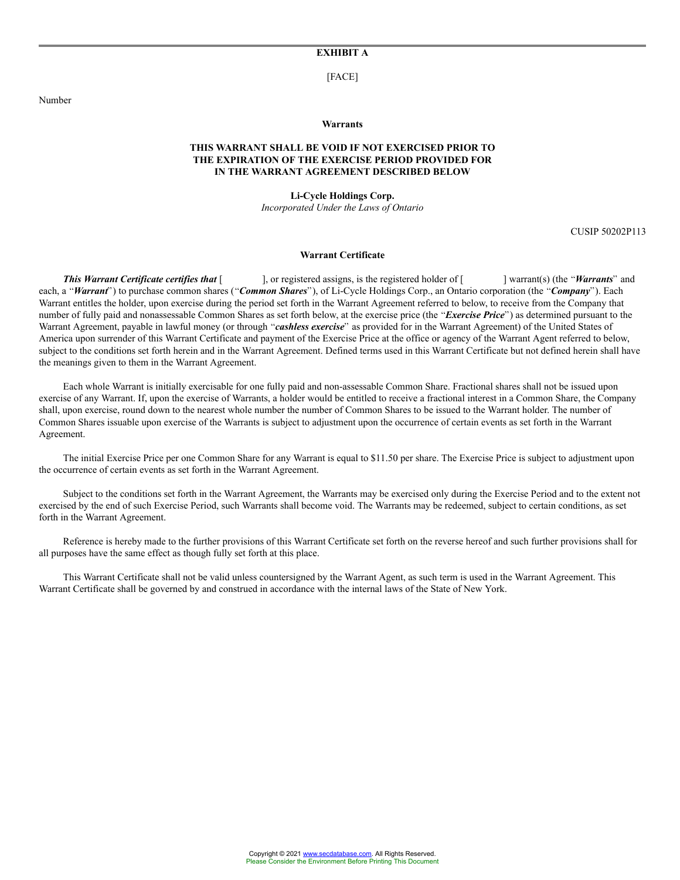# **EXHIBIT A**

[FACE]

Number

#### **Warrants**

# **THIS WARRANT SHALL BE VOID IF NOT EXERCISED PRIOR TO THE EXPIRATION OF THE EXERCISE PERIOD PROVIDED FOR IN THE WARRANT AGREEMENT DESCRIBED BELOW**

#### **Li-Cycle Holdings Corp.**

*Incorporated Under the Laws of Ontario*

CUSIP 50202P113

#### **Warrant Certificate**

**This Warrant Certificate certifies that** [ ], or registered assigns, is the registered holder of [ ] warrant(s) (the "Warrants" and each, a "Warrant") to purchase common shares ("Common Shares"), of Li-Cycle Holdings Corp., an Ontario corporation (the "Company"). Each Warrant entitles the holder, upon exercise during the period set forth in the Warrant Agreement referred to below, to receive from the Company that number of fully paid and nonassessable Common Shares as set forth below, at the exercise price (the "*Exercise Price*") as determined pursuant to the Warrant Agreement, payable in lawful money (or through "cashless exercise" as provided for in the Warrant Agreement) of the United States of America upon surrender of this Warrant Certificate and payment of the Exercise Price at the office or agency of the Warrant Agent referred to below, subject to the conditions set forth herein and in the Warrant Agreement. Defined terms used in this Warrant Certificate but not defined herein shall have the meanings given to them in the Warrant Agreement.

Each whole Warrant is initially exercisable for one fully paid and non-assessable Common Share. Fractional shares shall not be issued upon exercise of any Warrant. If, upon the exercise of Warrants, a holder would be entitled to receive a fractional interest in a Common Share, the Company shall, upon exercise, round down to the nearest whole number the number of Common Shares to be issued to the Warrant holder. The number of Common Shares issuable upon exercise of the Warrants is subject to adjustment upon the occurrence of certain events as set forth in the Warrant Agreement.

The initial Exercise Price per one Common Share for any Warrant is equal to \$11.50 per share. The Exercise Price is subject to adjustment upon the occurrence of certain events as set forth in the Warrant Agreement.

Subject to the conditions set forth in the Warrant Agreement, the Warrants may be exercised only during the Exercise Period and to the extent not exercised by the end of such Exercise Period, such Warrants shall become void. The Warrants may be redeemed, subject to certain conditions, as set forth in the Warrant Agreement.

Reference is hereby made to the further provisions of this Warrant Certificate set forth on the reverse hereof and such further provisions shall for all purposes have the same effect as though fully set forth at this place.

This Warrant Certificate shall not be valid unless countersigned by the Warrant Agent, as such term is used in the Warrant Agreement. This Warrant Certificate shall be governed by and construed in accordance with the internal laws of the State of New York.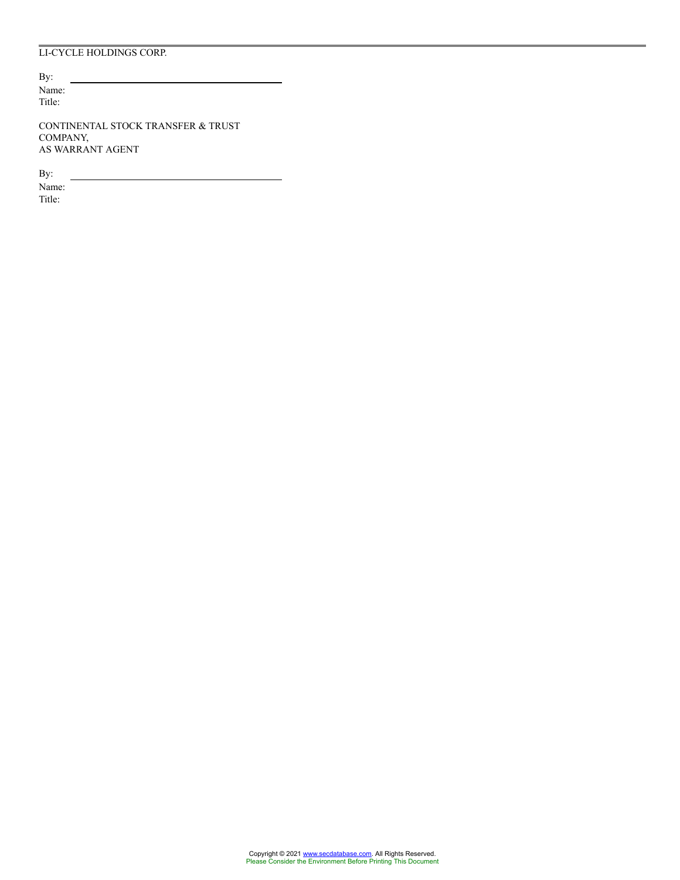# LI-CYCLE HOLDINGS CORP.

By: Name: Title:

CONTINENTAL STOCK TRANSFER & TRUST COMPANY, AS WARRANT AGENT

By:

Name: Title: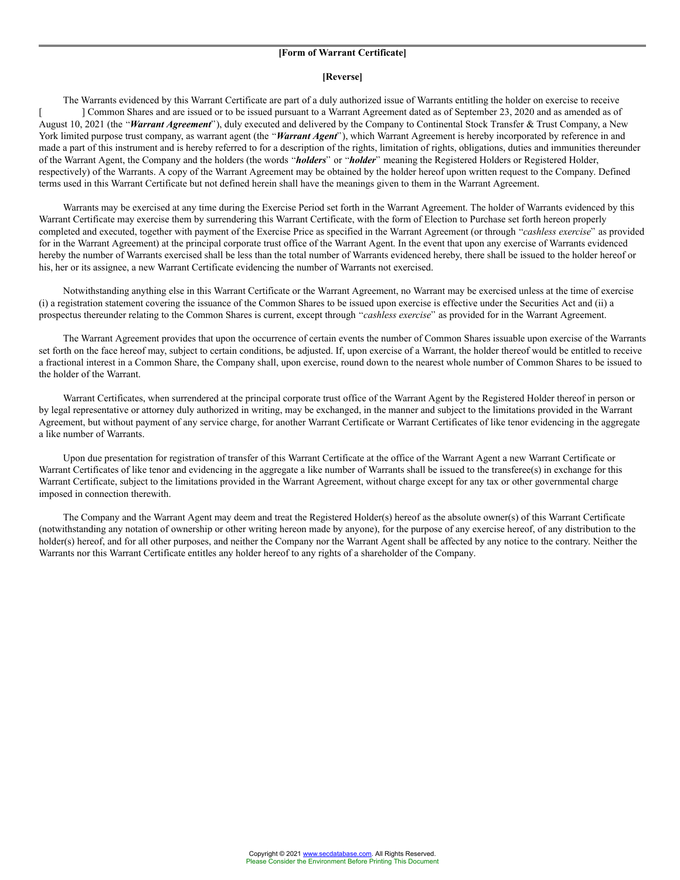# **[Form of Warrant Certificate]**

#### **[Reverse]**

The Warrants evidenced by this Warrant Certificate are part of a duly authorized issue of Warrants entitling the holder on exercise to receive [ ] Common Shares and are issued or to be issued pursuant to a Warrant Agreement dated as of September 23, 2020 and as amended as of August 10, 2021 (the *Warrant Agreement*), duly executed and delivered by the Company to Continental Stock Transfer & Trust Company, a New York limited purpose trust company, as warrant agent (the "Warrant Agent"), which Warrant Agreement is hereby incorporated by reference in and made a part of this instrument and is hereby referred to for a description of the rights, limitation of rights, obligations, duties and immunities thereunder of the Warrant Agent, the Company and the holders (the words "holders" or "holder" meaning the Registered Holders or Registered Holder, respectively) of the Warrants. A copy of the Warrant Agreement may be obtained by the holder hereof upon written request to the Company. Defined terms used in this Warrant Certificate but not defined herein shall have the meanings given to them in the Warrant Agreement.

Warrants may be exercised at any time during the Exercise Period set forth in the Warrant Agreement. The holder of Warrants evidenced by this Warrant Certificate may exercise them by surrendering this Warrant Certificate, with the form of Election to Purchase set forth hereon properly completed and executed, together with payment of the Exercise Price as specified in the Warrant Agreement (or through "cashless exercise" as provided for in the Warrant Agreement) at the principal corporate trust office of the Warrant Agent. In the event that upon any exercise of Warrants evidenced hereby the number of Warrants exercised shall be less than the total number of Warrants evidenced hereby, there shall be issued to the holder hereof or his, her or its assignee, a new Warrant Certificate evidencing the number of Warrants not exercised.

Notwithstanding anything else in this Warrant Certificate or the Warrant Agreement, no Warrant may be exercised unless at the time of exercise (i) a registration statement covering the issuance of the Common Shares to be issued upon exercise is effective under the Securities Act and (ii) a prospectus thereunder relating to the Common Shares is current, except through "cashless exercise" as provided for in the Warrant Agreement.

The Warrant Agreement provides that upon the occurrence of certain events the number of Common Shares issuable upon exercise of the Warrants set forth on the face hereof may, subject to certain conditions, be adjusted. If, upon exercise of a Warrant, the holder thereof would be entitled to receive a fractional interest in a Common Share, the Company shall, upon exercise, round down to the nearest whole number of Common Shares to be issued to the holder of the Warrant.

Warrant Certificates, when surrendered at the principal corporate trust office of the Warrant Agent by the Registered Holder thereof in person or by legal representative or attorney duly authorized in writing, may be exchanged, in the manner and subject to the limitations provided in the Warrant Agreement, but without payment of any service charge, for another Warrant Certificate or Warrant Certificates of like tenor evidencing in the aggregate a like number of Warrants.

Upon due presentation for registration of transfer of this Warrant Certificate at the office of the Warrant Agent a new Warrant Certificate or Warrant Certificates of like tenor and evidencing in the aggregate a like number of Warrants shall be issued to the transferee(s) in exchange for this Warrant Certificate, subject to the limitations provided in the Warrant Agreement, without charge except for any tax or other governmental charge imposed in connection therewith.

The Company and the Warrant Agent may deem and treat the Registered Holder(s) hereof as the absolute owner(s) of this Warrant Certificate (notwithstanding any notation of ownership or other writing hereon made by anyone), for the purpose of any exercise hereof, of any distribution to the holder(s) hereof, and for all other purposes, and neither the Company nor the Warrant Agent shall be affected by any notice to the contrary. Neither the Warrants nor this Warrant Certificate entitles any holder hereof to any rights of a shareholder of the Company.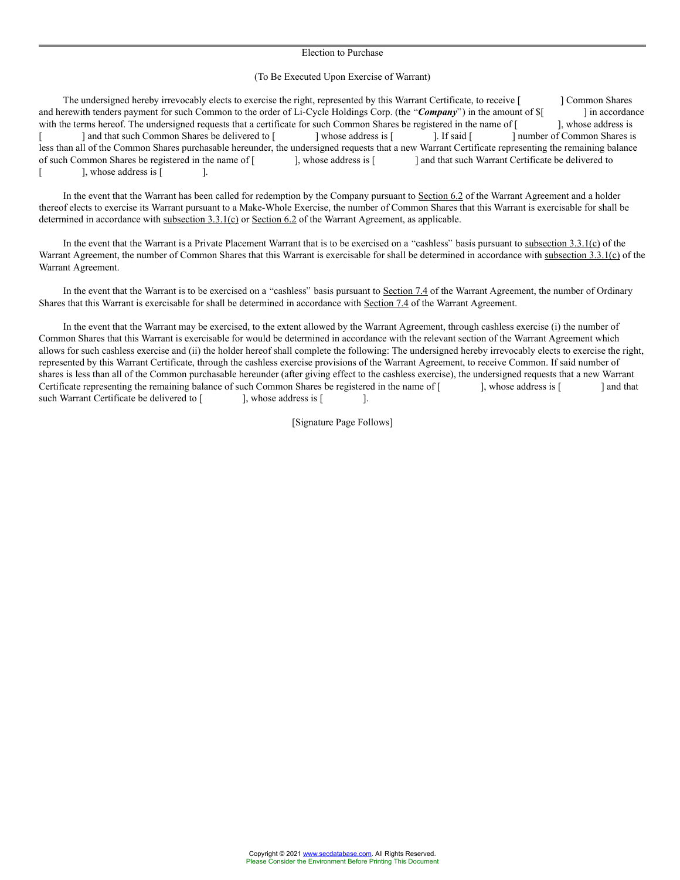#### Election to Purchase

#### (To Be Executed Upon Exercise of Warrant)

The undersigned hereby irrevocably elects to exercise the right, represented by this Warrant Certificate, to receive [ ] Common Shares and herewith tenders payment for such Common to the order of Li-Cycle Holdings Corp. (the "**Company**") in the amount of  $\{ \}$  in accordance with the terms hereof. The undersigned requests that a certificate for such Commo with the terms hereof. The undersigned requests that a certificate for such Common Shares be registered in the name of [ | and that such Common Shares be delivered to [ ] whose address is [ ]. If said [ ] number of Common Shares is less than all of the Common Shares purchasable hereunder, the undersigned requests that a new Warrant Certificate representing the remaining balance of such Common Shares be registered in the name of [ ], whose address is [ ] and that such Warrant Certificate be delivered to [ ], whose address is [

In the event that the Warrant has been called for redemption by the Company pursuant to Section 6.2 of the Warrant Agreement and a holder thereof elects to exercise its Warrant pursuant to a Make-Whole Exercise, the number of Common Shares that this Warrant is exercisable for shall be determined in accordance with subsection 3.3.1(c) or Section 6.2 of the Warrant Agreement, as applicable.

In the event that the Warrant is a Private Placement Warrant that is to be exercised on a "cashless" basis pursuant to subsection  $3.3.1(c)$  of the Warrant Agreement, the number of Common Shares that this Warrant is exercisable for shall be determined in accordance with subsection 3.3.1(c) of the Warrant Agreement.

In the event that the Warrant is to be exercised on a "cashless" basis pursuant to Section 7.4 of the Warrant Agreement, the number of Ordinary Shares that this Warrant is exercisable for shall be determined in accordance with Section 7.4 of the Warrant Agreement.

In the event that the Warrant may be exercised, to the extent allowed by the Warrant Agreement, through cashless exercise (i) the number of Common Shares that this Warrant is exercisable for would be determined in accordance with the relevant section of the Warrant Agreement which allows for such cashless exercise and (ii) the holder hereof shall complete the following: The undersigned hereby irrevocably elects to exercise the right, represented by this Warrant Certificate, through the cashless exercise provisions of the Warrant Agreement, to receive Common. If said number of shares is less than all of the Common purchasable hereunder (after giving effect to the cashless exercise), the undersigned requests that a new Warrant Certificate representing the remaining balance of such Common Shares be registered in the name of [ ], whose address is [ ] and that such Warrant Certificate be delivered to [ ], whose address is [ ].

[Signature Page Follows]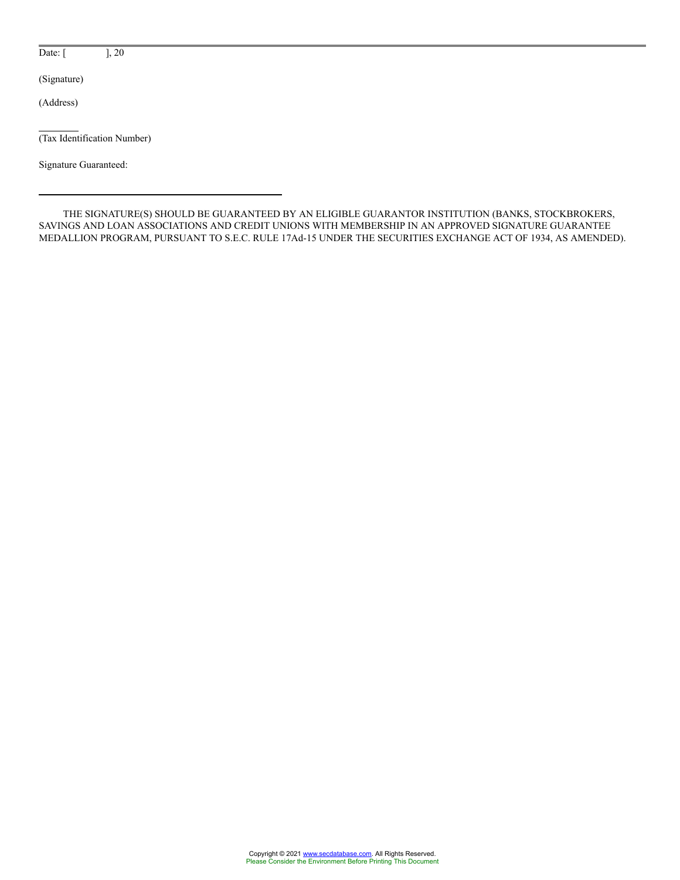Date: [ ], 20

(Signature)

(Address)

(Tax Identification Number)

Signature Guaranteed:

THE SIGNATURE(S) SHOULD BE GUARANTEED BY AN ELIGIBLE GUARANTOR INSTITUTION (BANKS, STOCKBROKERS, SAVINGS AND LOAN ASSOCIATIONS AND CREDIT UNIONS WITH MEMBERSHIP IN AN APPROVED SIGNATURE GUARANTEE MEDALLION PROGRAM, PURSUANT TO S.E.C. RULE 17Ad-15 UNDER THE SECURITIES EXCHANGE ACT OF 1934, AS AMENDED).